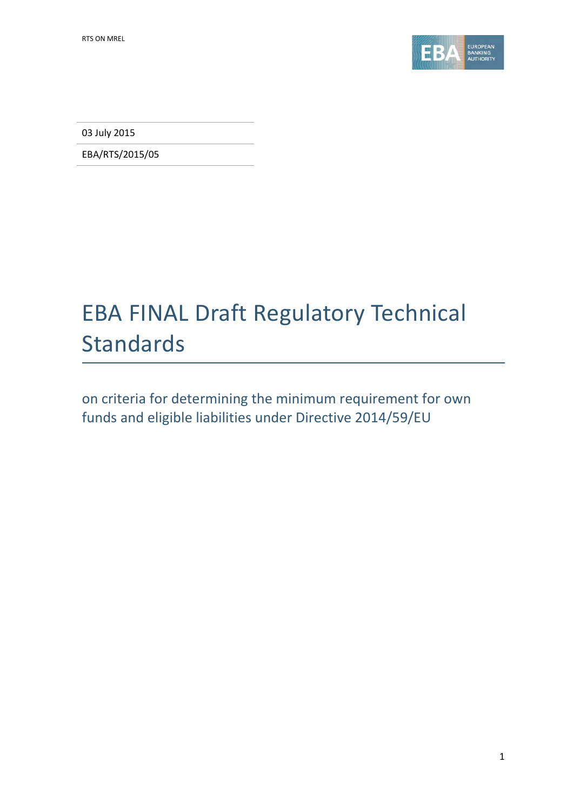

03 July 2015

EBA/RTS/2015/05

# EBA FINAL Draft Regulatory Technical Standards

on criteria for determining the minimum requirement for own funds and eligible liabilities under Directive 2014/59/EU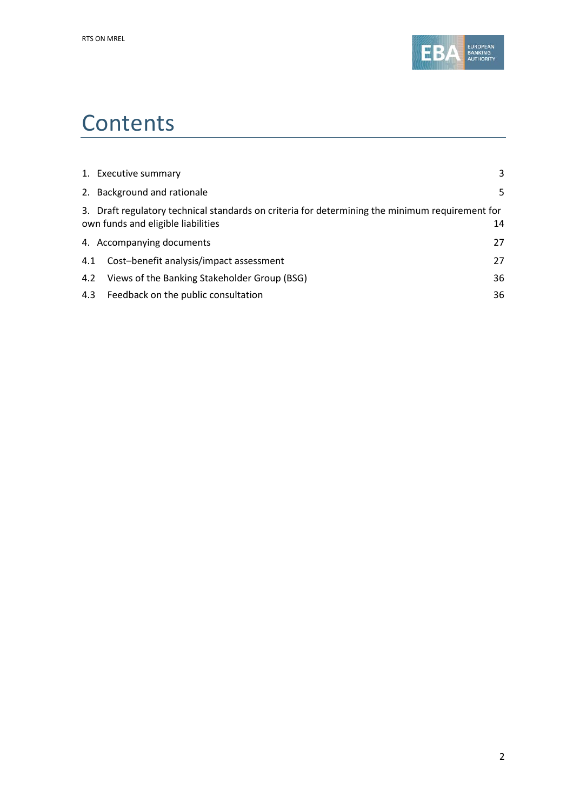

# **Contents**

|     | 1. Executive summary                                                                                                                  | 3  |
|-----|---------------------------------------------------------------------------------------------------------------------------------------|----|
|     | 2. Background and rationale                                                                                                           | 5. |
|     | 3. Draft regulatory technical standards on criteria for determining the minimum requirement for<br>own funds and eligible liabilities | 14 |
|     | 4. Accompanying documents                                                                                                             | 27 |
| 4.1 | Cost-benefit analysis/impact assessment                                                                                               | 27 |
| 4.2 | Views of the Banking Stakeholder Group (BSG)                                                                                          | 36 |
| 4.3 | Feedback on the public consultation                                                                                                   | 36 |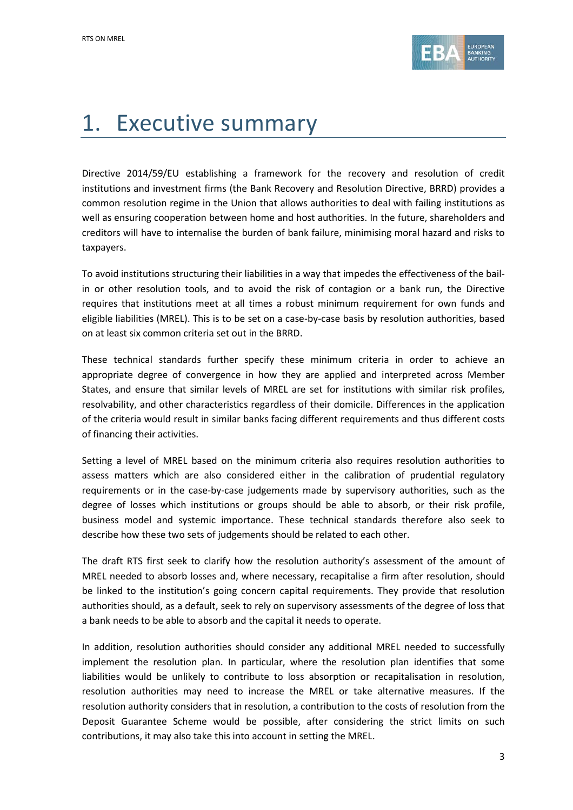

# 1. Executive summary

Directive 2014/59/EU establishing a framework for the recovery and resolution of credit institutions and investment firms (the Bank Recovery and Resolution Directive, BRRD) provides a common resolution regime in the Union that allows authorities to deal with failing institutions as well as ensuring cooperation between home and host authorities. In the future, shareholders and creditors will have to internalise the burden of bank failure, minimising moral hazard and risks to taxpayers.

To avoid institutions structuring their liabilities in a way that impedes the effectiveness of the bailin or other resolution tools, and to avoid the risk of contagion or a bank run, the Directive requires that institutions meet at all times a robust minimum requirement for own funds and eligible liabilities (MREL). This is to be set on a case-by-case basis by resolution authorities, based on at least six common criteria set out in the BRRD.

These technical standards further specify these minimum criteria in order to achieve an appropriate degree of convergence in how they are applied and interpreted across Member States, and ensure that similar levels of MREL are set for institutions with similar risk profiles, resolvability, and other characteristics regardless of their domicile. Differences in the application of the criteria would result in similar banks facing different requirements and thus different costs of financing their activities.

Setting a level of MREL based on the minimum criteria also requires resolution authorities to assess matters which are also considered either in the calibration of prudential regulatory requirements or in the case-by-case judgements made by supervisory authorities, such as the degree of losses which institutions or groups should be able to absorb, or their risk profile, business model and systemic importance. These technical standards therefore also seek to describe how these two sets of judgements should be related to each other.

The draft RTS first seek to clarify how the resolution authority's assessment of the amount of MREL needed to absorb losses and, where necessary, recapitalise a firm after resolution, should be linked to the institution's going concern capital requirements. They provide that resolution authorities should, as a default, seek to rely on supervisory assessments of the degree of loss that a bank needs to be able to absorb and the capital it needs to operate.

In addition, resolution authorities should consider any additional MREL needed to successfully implement the resolution plan. In particular, where the resolution plan identifies that some liabilities would be unlikely to contribute to loss absorption or recapitalisation in resolution, resolution authorities may need to increase the MREL or take alternative measures. If the resolution authority considers that in resolution, a contribution to the costs of resolution from the Deposit Guarantee Scheme would be possible, after considering the strict limits on such contributions, it may also take this into account in setting the MREL.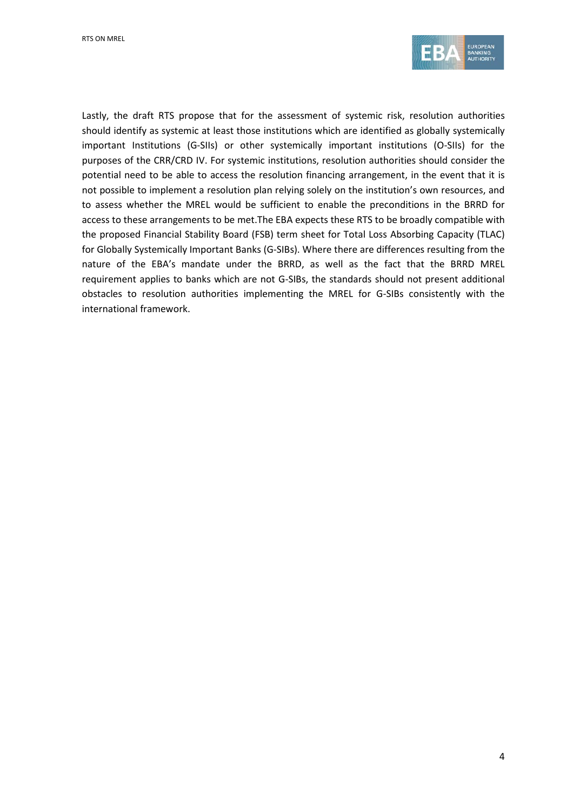

Lastly, the draft RTS propose that for the assessment of systemic risk, resolution authorities should identify as systemic at least those institutions which are identified as globally systemically important Institutions (G-SIIs) or other systemically important institutions (O-SIIs) for the purposes of the CRR/CRD IV. For systemic institutions, resolution authorities should consider the potential need to be able to access the resolution financing arrangement, in the event that it is not possible to implement a resolution plan relying solely on the institution's own resources, and to assess whether the MREL would be sufficient to enable the preconditions in the BRRD for access to these arrangements to be met.The EBA expects these RTS to be broadly compatible with the proposed Financial Stability Board (FSB) term sheet for Total Loss Absorbing Capacity (TLAC) for Globally Systemically Important Banks (G-SIBs). Where there are differences resulting from the nature of the EBA's mandate under the BRRD, as well as the fact that the BRRD MREL requirement applies to banks which are not G-SIBs, the standards should not present additional obstacles to resolution authorities implementing the MREL for G-SIBs consistently with the international framework.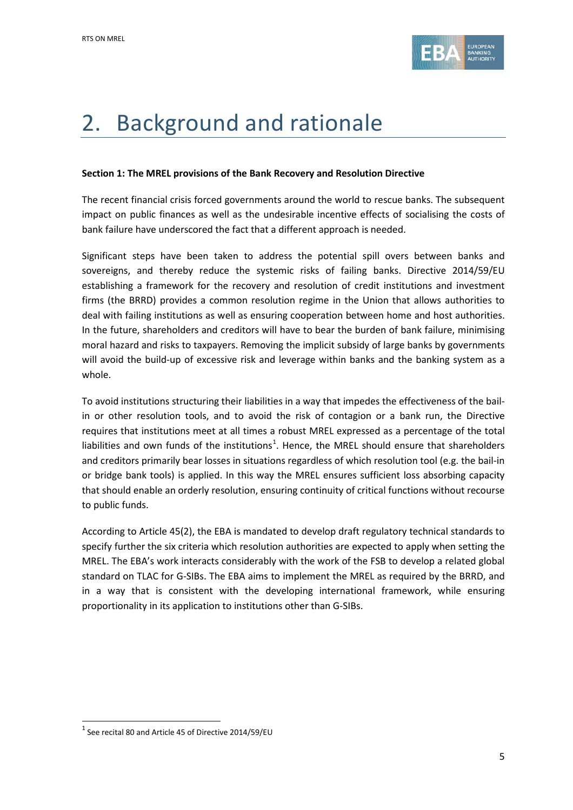

# 2. Background and rationale

#### **Section 1: The MREL provisions of the Bank Recovery and Resolution Directive**

The recent financial crisis forced governments around the world to rescue banks. The subsequent impact on public finances as well as the undesirable incentive effects of socialising the costs of bank failure have underscored the fact that a different approach is needed.

Significant steps have been taken to address the potential spill overs between banks and sovereigns, and thereby reduce the systemic risks of failing banks. Directive 2014/59/EU establishing a framework for the recovery and resolution of credit institutions and investment firms (the BRRD) provides a common resolution regime in the Union that allows authorities to deal with failing institutions as well as ensuring cooperation between home and host authorities. In the future, shareholders and creditors will have to bear the burden of bank failure, minimising moral hazard and risks to taxpayers. Removing the implicit subsidy of large banks by governments will avoid the build-up of excessive risk and leverage within banks and the banking system as a whole.

To avoid institutions structuring their liabilities in a way that impedes the effectiveness of the bailin or other resolution tools, and to avoid the risk of contagion or a bank run, the Directive requires that institutions meet at all times a robust MREL expressed as a percentage of the total liabilities and own funds of the institutions<sup>[1](#page-4-0)</sup>. Hence, the MREL should ensure that shareholders and creditors primarily bear losses in situations regardless of which resolution tool (e.g. the bail-in or bridge bank tools) is applied. In this way the MREL ensures sufficient loss absorbing capacity that should enable an orderly resolution, ensuring continuity of critical functions without recourse to public funds.

According to Article 45(2), the EBA is mandated to develop draft regulatory technical standards to specify further the six criteria which resolution authorities are expected to apply when setting the MREL. The EBA's work interacts considerably with the work of the FSB to develop a related global standard on TLAC for G-SIBs. The EBA aims to implement the MREL as required by the BRRD, and in a way that is consistent with the developing international framework, while ensuring proportionality in its application to institutions other than G-SIBs.

 $\overline{a}$ 

<span id="page-4-0"></span> $1$  See recital 80 and Article 45 of Directive 2014/59/EU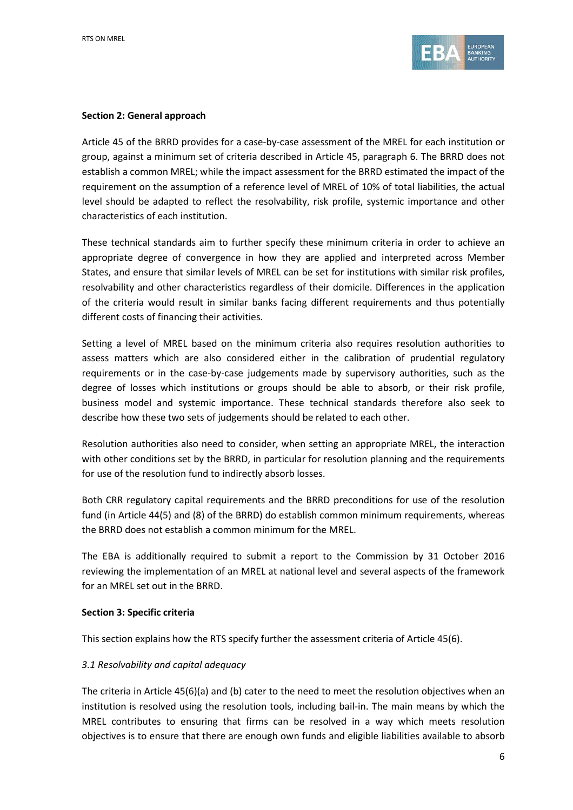

#### **Section 2: General approach**

Article 45 of the BRRD provides for a case-by-case assessment of the MREL for each institution or group, against a minimum set of criteria described in Article 45, paragraph 6. The BRRD does not establish a common MREL; while the impact assessment for the BRRD estimated the impact of the requirement on the assumption of a reference level of MREL of 10% of total liabilities, the actual level should be adapted to reflect the resolvability, risk profile, systemic importance and other characteristics of each institution.

These technical standards aim to further specify these minimum criteria in order to achieve an appropriate degree of convergence in how they are applied and interpreted across Member States, and ensure that similar levels of MREL can be set for institutions with similar risk profiles, resolvability and other characteristics regardless of their domicile. Differences in the application of the criteria would result in similar banks facing different requirements and thus potentially different costs of financing their activities.

Setting a level of MREL based on the minimum criteria also requires resolution authorities to assess matters which are also considered either in the calibration of prudential regulatory requirements or in the case-by-case judgements made by supervisory authorities, such as the degree of losses which institutions or groups should be able to absorb, or their risk profile, business model and systemic importance. These technical standards therefore also seek to describe how these two sets of judgements should be related to each other.

Resolution authorities also need to consider, when setting an appropriate MREL, the interaction with other conditions set by the BRRD, in particular for resolution planning and the requirements for use of the resolution fund to indirectly absorb losses.

Both CRR regulatory capital requirements and the BRRD preconditions for use of the resolution fund (in Article 44(5) and (8) of the BRRD) do establish common minimum requirements, whereas the BRRD does not establish a common minimum for the MREL.

The EBA is additionally required to submit a report to the Commission by 31 October 2016 reviewing the implementation of an MREL at national level and several aspects of the framework for an MREL set out in the BRRD.

#### **Section 3: Specific criteria**

This section explains how the RTS specify further the assessment criteria of Article 45(6).

#### *3.1 Resolvability and capital adequacy*

The criteria in Article 45(6)(a) and (b) cater to the need to meet the resolution objectives when an institution is resolved using the resolution tools, including bail-in. The main means by which the MREL contributes to ensuring that firms can be resolved in a way which meets resolution objectives is to ensure that there are enough own funds and eligible liabilities available to absorb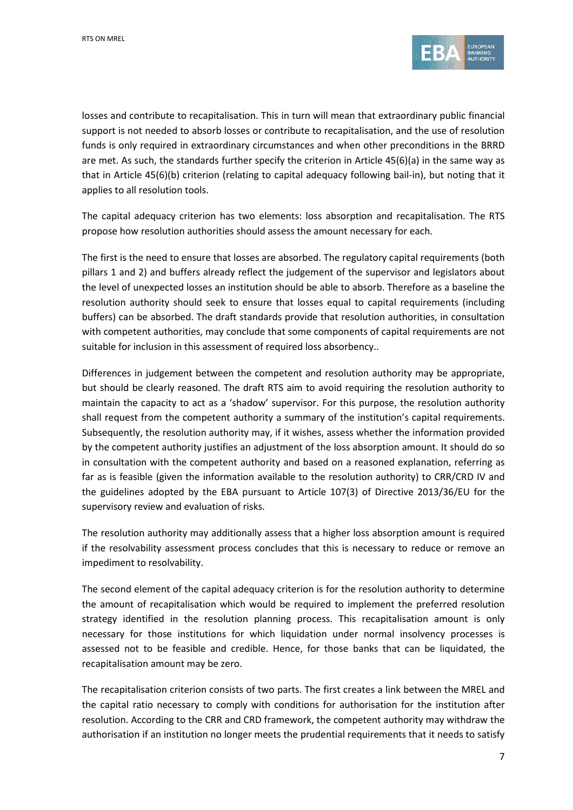

losses and contribute to recapitalisation. This in turn will mean that extraordinary public financial support is not needed to absorb losses or contribute to recapitalisation, and the use of resolution funds is only required in extraordinary circumstances and when other preconditions in the BRRD are met. As such, the standards further specify the criterion in Article 45(6)(a) in the same way as that in Article 45(6)(b) criterion (relating to capital adequacy following bail-in), but noting that it applies to all resolution tools.

The capital adequacy criterion has two elements: loss absorption and recapitalisation. The RTS propose how resolution authorities should assess the amount necessary for each.

The first is the need to ensure that losses are absorbed. The regulatory capital requirements (both pillars 1 and 2) and buffers already reflect the judgement of the supervisor and legislators about the level of unexpected losses an institution should be able to absorb. Therefore as a baseline the resolution authority should seek to ensure that losses equal to capital requirements (including buffers) can be absorbed. The draft standards provide that resolution authorities, in consultation with competent authorities, may conclude that some components of capital requirements are not suitable for inclusion in this assessment of required loss absorbency..

Differences in judgement between the competent and resolution authority may be appropriate, but should be clearly reasoned. The draft RTS aim to avoid requiring the resolution authority to maintain the capacity to act as a 'shadow' supervisor. For this purpose, the resolution authority shall request from the competent authority a summary of the institution's capital requirements. Subsequently, the resolution authority may, if it wishes, assess whether the information provided by the competent authority justifies an adjustment of the loss absorption amount. It should do so in consultation with the competent authority and based on a reasoned explanation, referring as far as is feasible (given the information available to the resolution authority) to CRR/CRD IV and the guidelines adopted by the EBA pursuant to Article 107(3) of Directive 2013/36/EU for the supervisory review and evaluation of risks.

The resolution authority may additionally assess that a higher loss absorption amount is required if the resolvability assessment process concludes that this is necessary to reduce or remove an impediment to resolvability.

The second element of the capital adequacy criterion is for the resolution authority to determine the amount of recapitalisation which would be required to implement the preferred resolution strategy identified in the resolution planning process. This recapitalisation amount is only necessary for those institutions for which liquidation under normal insolvency processes is assessed not to be feasible and credible. Hence, for those banks that can be liquidated, the recapitalisation amount may be zero.

The recapitalisation criterion consists of two parts. The first creates a link between the MREL and the capital ratio necessary to comply with conditions for authorisation for the institution after resolution. According to the CRR and CRD framework, the competent authority may withdraw the authorisation if an institution no longer meets the prudential requirements that it needs to satisfy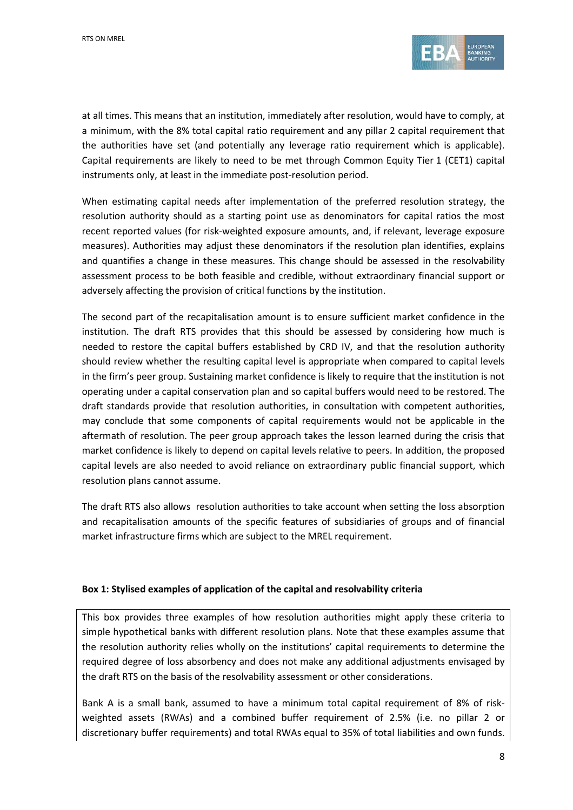

at all times. This means that an institution, immediately after resolution, would have to comply, at a minimum, with the 8% total capital ratio requirement and any pillar 2 capital requirement that the authorities have set (and potentially any leverage ratio requirement which is applicable). Capital requirements are likely to need to be met through Common Equity Tier 1 (CET1) capital instruments only, at least in the immediate post-resolution period.

When estimating capital needs after implementation of the preferred resolution strategy, the resolution authority should as a starting point use as denominators for capital ratios the most recent reported values (for risk-weighted exposure amounts, and, if relevant, leverage exposure measures). Authorities may adjust these denominators if the resolution plan identifies, explains and quantifies a change in these measures. This change should be assessed in the resolvability assessment process to be both feasible and credible, without extraordinary financial support or adversely affecting the provision of critical functions by the institution.

The second part of the recapitalisation amount is to ensure sufficient market confidence in the institution. The draft RTS provides that this should be assessed by considering how much is needed to restore the capital buffers established by CRD IV, and that the resolution authority should review whether the resulting capital level is appropriate when compared to capital levels in the firm's peer group. Sustaining market confidence is likely to require that the institution is not operating under a capital conservation plan and so capital buffers would need to be restored. The draft standards provide that resolution authorities, in consultation with competent authorities, may conclude that some components of capital requirements would not be applicable in the aftermath of resolution. The peer group approach takes the lesson learned during the crisis that market confidence is likely to depend on capital levels relative to peers. In addition, the proposed capital levels are also needed to avoid reliance on extraordinary public financial support, which resolution plans cannot assume.

The draft RTS also allows resolution authorities to take account when setting the loss absorption and recapitalisation amounts of the specific features of subsidiaries of groups and of financial market infrastructure firms which are subject to the MREL requirement.

#### **Box 1: Stylised examples of application of the capital and resolvability criteria**

This box provides three examples of how resolution authorities might apply these criteria to simple hypothetical banks with different resolution plans. Note that these examples assume that the resolution authority relies wholly on the institutions' capital requirements to determine the required degree of loss absorbency and does not make any additional adjustments envisaged by the draft RTS on the basis of the resolvability assessment or other considerations.

Bank A is a small bank, assumed to have a minimum total capital requirement of 8% of riskweighted assets (RWAs) and a combined buffer requirement of 2.5% (i.e. no pillar 2 or discretionary buffer requirements) and total RWAs equal to 35% of total liabilities and own funds.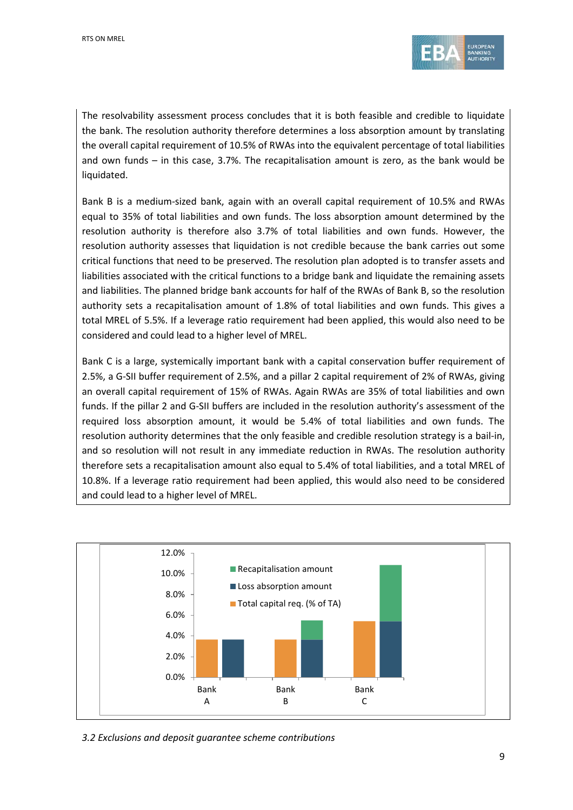

The resolvability assessment process concludes that it is both feasible and credible to liquidate the bank. The resolution authority therefore determines a loss absorption amount by translating the overall capital requirement of 10.5% of RWAs into the equivalent percentage of total liabilities and own funds – in this case, 3.7%. The recapitalisation amount is zero, as the bank would be liquidated.

Bank B is a medium-sized bank, again with an overall capital requirement of 10.5% and RWAs equal to 35% of total liabilities and own funds. The loss absorption amount determined by the resolution authority is therefore also 3.7% of total liabilities and own funds. However, the resolution authority assesses that liquidation is not credible because the bank carries out some critical functions that need to be preserved. The resolution plan adopted is to transfer assets and liabilities associated with the critical functions to a bridge bank and liquidate the remaining assets and liabilities. The planned bridge bank accounts for half of the RWAs of Bank B, so the resolution authority sets a recapitalisation amount of 1.8% of total liabilities and own funds. This gives a total MREL of 5.5%. If a leverage ratio requirement had been applied, this would also need to be considered and could lead to a higher level of MREL.

Bank C is a large, systemically important bank with a capital conservation buffer requirement of 2.5%, a G-SII buffer requirement of 2.5%, and a pillar 2 capital requirement of 2% of RWAs, giving an overall capital requirement of 15% of RWAs. Again RWAs are 35% of total liabilities and own funds. If the pillar 2 and G-SII buffers are included in the resolution authority's assessment of the required loss absorption amount, it would be 5.4% of total liabilities and own funds. The resolution authority determines that the only feasible and credible resolution strategy is a bail-in, and so resolution will not result in any immediate reduction in RWAs. The resolution authority therefore sets a recapitalisation amount also equal to 5.4% of total liabilities, and a total MREL of 10.8%. If a leverage ratio requirement had been applied, this would also need to be considered and could lead to a higher level of MREL.



*3.2 Exclusions and deposit guarantee scheme contributions*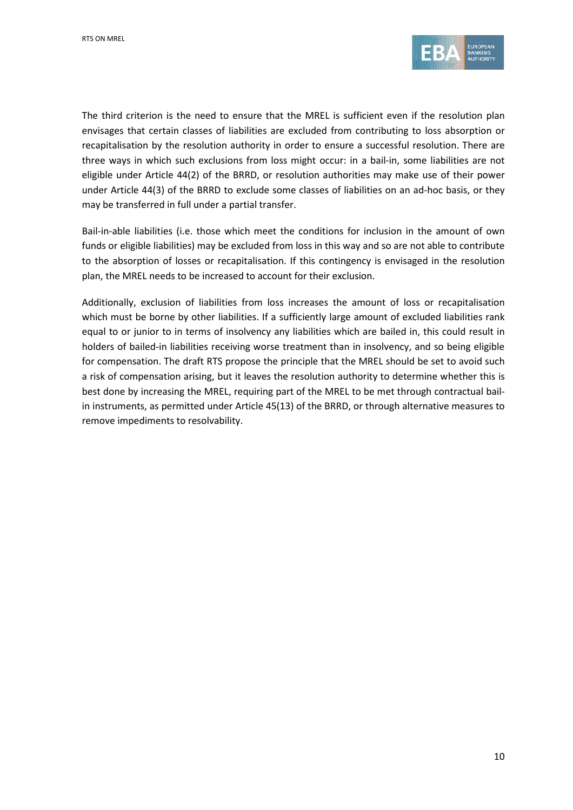

The third criterion is the need to ensure that the MREL is sufficient even if the resolution plan envisages that certain classes of liabilities are excluded from contributing to loss absorption or recapitalisation by the resolution authority in order to ensure a successful resolution. There are three ways in which such exclusions from loss might occur: in a bail-in, some liabilities are not eligible under Article 44(2) of the BRRD, or resolution authorities may make use of their power under Article 44(3) of the BRRD to exclude some classes of liabilities on an ad-hoc basis, or they may be transferred in full under a partial transfer.

Bail-in-able liabilities (i.e. those which meet the conditions for inclusion in the amount of own funds or eligible liabilities) may be excluded from loss in this way and so are not able to contribute to the absorption of losses or recapitalisation. If this contingency is envisaged in the resolution plan, the MREL needs to be increased to account for their exclusion.

Additionally, exclusion of liabilities from loss increases the amount of loss or recapitalisation which must be borne by other liabilities. If a sufficiently large amount of excluded liabilities rank equal to or junior to in terms of insolvency any liabilities which are bailed in, this could result in holders of bailed-in liabilities receiving worse treatment than in insolvency, and so being eligible for compensation. The draft RTS propose the principle that the MREL should be set to avoid such a risk of compensation arising, but it leaves the resolution authority to determine whether this is best done by increasing the MREL, requiring part of the MREL to be met through contractual bailin instruments, as permitted under Article 45(13) of the BRRD, or through alternative measures to remove impediments to resolvability.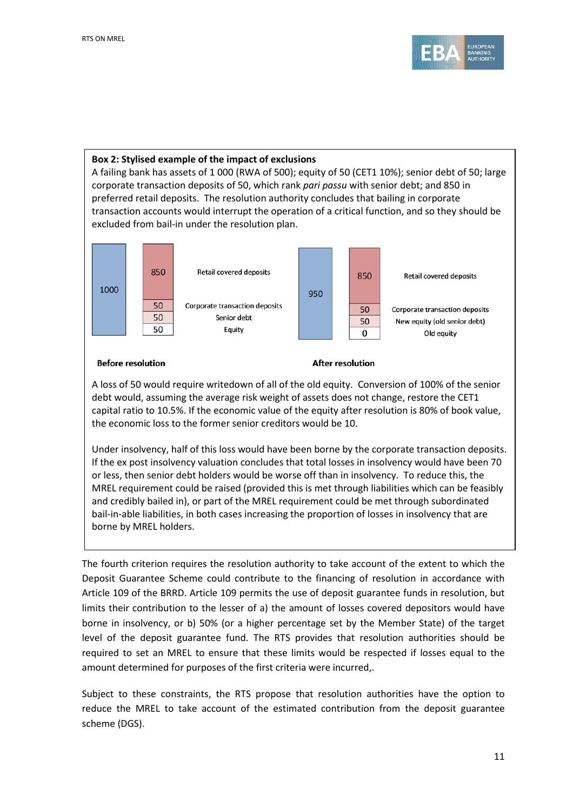

#### **Box 2: Stylised example of the impact of exclusions**

A failing bank has assets of 1 000 (RWA of 500); equity of 50 (CET1 10%); senior debt of 50; large corporate transaction deposits of 50, which rank *pari passu* with senior debt; and 850 in preferred retail deposits. The resolution authority concludes that bailing in corporate transaction accounts would interrupt the operation of a critical function, and so they should be excluded from bail-in under the resolution plan.



#### **Before resolution**

#### **After resolution**

A loss of 50 would require writedown of all of the old equity. Conversion of 100% of the senior debt would, assuming the average risk weight of assets does not change, restore the CET1 capital ratio to 10.5%. If the economic value of the equity after resolution is 80% of book value, the economic loss to the former senior creditors would be 10.

Under insolvency, half of this loss would have been borne by the corporate transaction deposits. If the ex post insolvency valuation concludes that total losses in insolvency would have been 70 or less, then senior debt holders would be worse off than in insolvency. To reduce this, the MREL requirement could be raised (provided this is met through liabilities which can be feasibly and credibly bailed in), or part of the MREL requirement could be met through subordinated bail-in-able liabilities, in both cases increasing the proportion of losses in insolvency that are borne by MREL holders.

The fourth criterion requires the resolution authority to take account of the extent to which the Deposit Guarantee Scheme could contribute to the financing of resolution in accordance with Article 109 of the BRRD. Article 109 permits the use of deposit guarantee funds in resolution, but limits their contribution to the lesser of a) the amount of losses covered depositors would have borne in insolvency, or b) 50% (or a higher percentage set by the Member State) of the target level of the deposit guarantee fund. The RTS provides that resolution authorities should be required to set an MREL to ensure that these limits would be respected if losses equal to the amount determined for purposes of the first criteria were incurred,.

Subject to these constraints, the RTS propose that resolution authorities have the option to reduce the MREL to take account of the estimated contribution from the deposit guarantee scheme (DGS).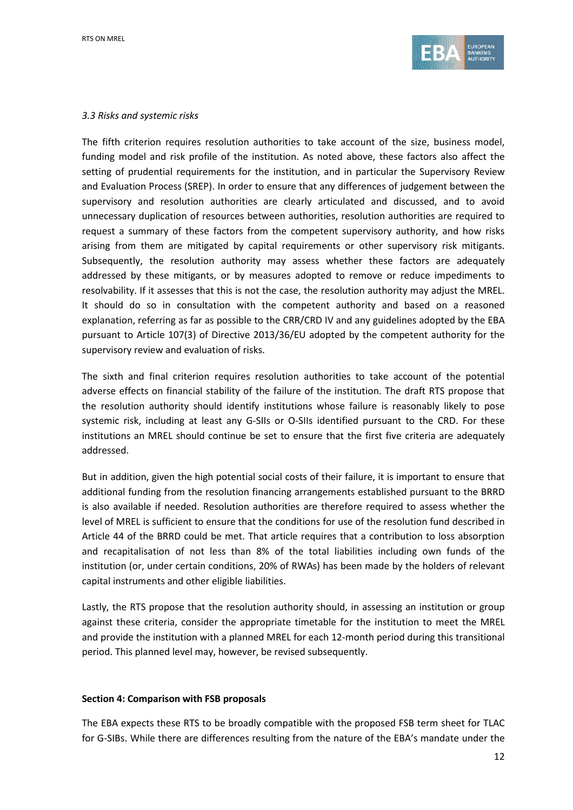

#### *3.3 Risks and systemic risks*

The fifth criterion requires resolution authorities to take account of the size, business model, funding model and risk profile of the institution. As noted above, these factors also affect the setting of prudential requirements for the institution, and in particular the Supervisory Review and Evaluation Process (SREP). In order to ensure that any differences of judgement between the supervisory and resolution authorities are clearly articulated and discussed, and to avoid unnecessary duplication of resources between authorities, resolution authorities are required to request a summary of these factors from the competent supervisory authority, and how risks arising from them are mitigated by capital requirements or other supervisory risk mitigants. Subsequently, the resolution authority may assess whether these factors are adequately addressed by these mitigants, or by measures adopted to remove or reduce impediments to resolvability. If it assesses that this is not the case, the resolution authority may adjust the MREL. It should do so in consultation with the competent authority and based on a reasoned explanation, referring as far as possible to the CRR/CRD IV and any guidelines adopted by the EBA pursuant to Article 107(3) of Directive 2013/36/EU adopted by the competent authority for the supervisory review and evaluation of risks.

The sixth and final criterion requires resolution authorities to take account of the potential adverse effects on financial stability of the failure of the institution. The draft RTS propose that the resolution authority should identify institutions whose failure is reasonably likely to pose systemic risk, including at least any G-SIIs or O-SIIs identified pursuant to the CRD. For these institutions an MREL should continue be set to ensure that the first five criteria are adequately addressed.

But in addition, given the high potential social costs of their failure, it is important to ensure that additional funding from the resolution financing arrangements established pursuant to the BRRD is also available if needed. Resolution authorities are therefore required to assess whether the level of MREL is sufficient to ensure that the conditions for use of the resolution fund described in Article 44 of the BRRD could be met. That article requires that a contribution to loss absorption and recapitalisation of not less than 8% of the total liabilities including own funds of the institution (or, under certain conditions, 20% of RWAs) has been made by the holders of relevant capital instruments and other eligible liabilities.

Lastly, the RTS propose that the resolution authority should, in assessing an institution or group against these criteria, consider the appropriate timetable for the institution to meet the MREL and provide the institution with a planned MREL for each 12-month period during this transitional period. This planned level may, however, be revised subsequently.

#### **Section 4: Comparison with FSB proposals**

The EBA expects these RTS to be broadly compatible with the proposed FSB term sheet for TLAC for G-SIBs. While there are differences resulting from the nature of the EBA's mandate under the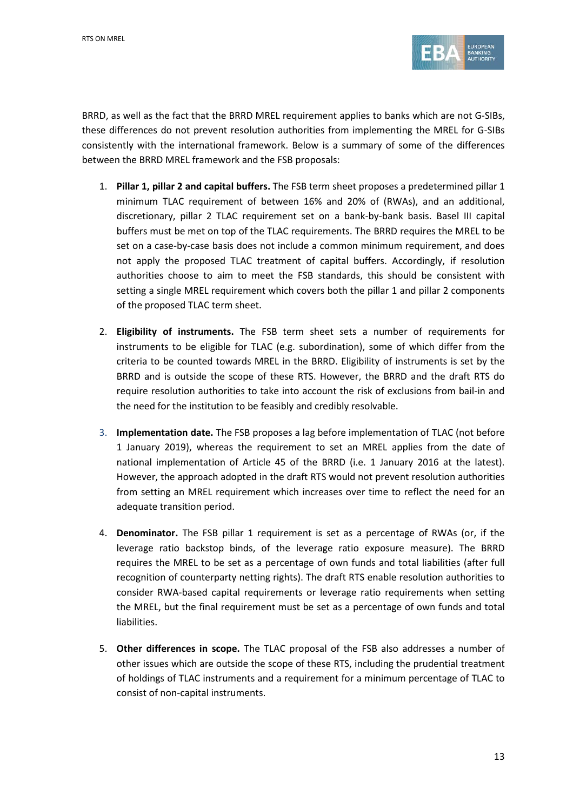

BRRD, as well as the fact that the BRRD MREL requirement applies to banks which are not G-SIBs, these differences do not prevent resolution authorities from implementing the MREL for G-SIBs consistently with the international framework. Below is a summary of some of the differences between the BRRD MREL framework and the FSB proposals:

- 1. **Pillar 1, pillar 2 and capital buffers.** The FSB term sheet proposes a predetermined pillar 1 minimum TLAC requirement of between 16% and 20% of (RWAs), and an additional, discretionary, pillar 2 TLAC requirement set on a bank-by-bank basis. Basel III capital buffers must be met on top of the TLAC requirements. The BRRD requires the MREL to be set on a case-by-case basis does not include a common minimum requirement, and does not apply the proposed TLAC treatment of capital buffers. Accordingly, if resolution authorities choose to aim to meet the FSB standards, this should be consistent with setting a single MREL requirement which covers both the pillar 1 and pillar 2 components of the proposed TLAC term sheet.
- 2. **Eligibility of instruments.** The FSB term sheet sets a number of requirements for instruments to be eligible for TLAC (e.g. subordination), some of which differ from the criteria to be counted towards MREL in the BRRD. Eligibility of instruments is set by the BRRD and is outside the scope of these RTS. However, the BRRD and the draft RTS do require resolution authorities to take into account the risk of exclusions from bail-in and the need for the institution to be feasibly and credibly resolvable.
- 3. **Implementation date.** The FSB proposes a lag before implementation of TLAC (not before 1 January 2019), whereas the requirement to set an MREL applies from the date of national implementation of Article 45 of the BRRD (i.e. 1 January 2016 at the latest). However, the approach adopted in the draft RTS would not prevent resolution authorities from setting an MREL requirement which increases over time to reflect the need for an adequate transition period.
- 4. **Denominator.** The FSB pillar 1 requirement is set as a percentage of RWAs (or, if the leverage ratio backstop binds, of the leverage ratio exposure measure). The BRRD requires the MREL to be set as a percentage of own funds and total liabilities (after full recognition of counterparty netting rights). The draft RTS enable resolution authorities to consider RWA-based capital requirements or leverage ratio requirements when setting the MREL, but the final requirement must be set as a percentage of own funds and total liabilities.
- 5. **Other differences in scope.** The TLAC proposal of the FSB also addresses a number of other issues which are outside the scope of these RTS, including the prudential treatment of holdings of TLAC instruments and a requirement for a minimum percentage of TLAC to consist of non-capital instruments.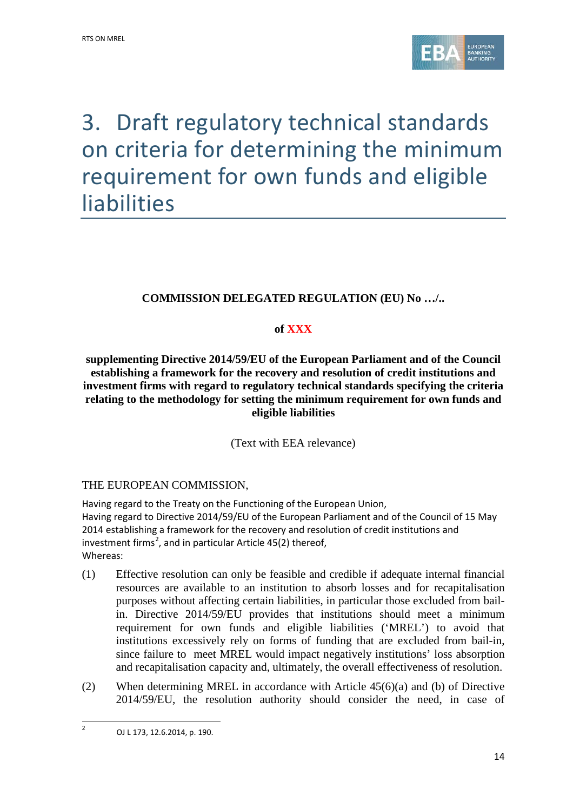

# 3. Draft regulatory technical standards on criteria for determining the minimum requirement for own funds and eligible liabilities

# **COMMISSION DELEGATED REGULATION (EU) No …/..**

# **of XXX**

**supplementing Directive 2014/59/EU of the European Parliament and of the Council establishing a framework for the recovery and resolution of credit institutions and investment firms with regard to regulatory technical standards specifying the criteria relating to the methodology for setting the minimum requirement for own funds and eligible liabilities**

(Text with EEA relevance)

# THE EUROPEAN COMMISSION,

Having regard to the Treaty on the Functioning of the European Union, Having regard to Directive 2014/59/EU of the European Parliament and of the Council of 15 May 2014 establishing a framework for the recovery and resolution of credit institutions and investment firms<sup>[2](#page-13-0)</sup>, and in particular Article 45(2) thereof, Whereas:

- (1) Effective resolution can only be feasible and credible if adequate internal financial resources are available to an institution to absorb losses and for recapitalisation purposes without affecting certain liabilities, in particular those excluded from bailin. Directive 2014/59/EU provides that institutions should meet a minimum requirement for own funds and eligible liabilities ('MREL') to avoid that institutions excessively rely on forms of funding that are excluded from bail-in, since failure to meet MREL would impact negatively institutions' loss absorption and recapitalisation capacity and, ultimately, the overall effectiveness of resolution.
- (2) When determining MREL in accordance with Article 45(6)(a) and (b) of Directive 2014/59/EU, the resolution authority should consider the need, in case of

 $\overline{a}$ 

<span id="page-13-0"></span><sup>2</sup> OJ L 173, 12.6.2014, p. 190.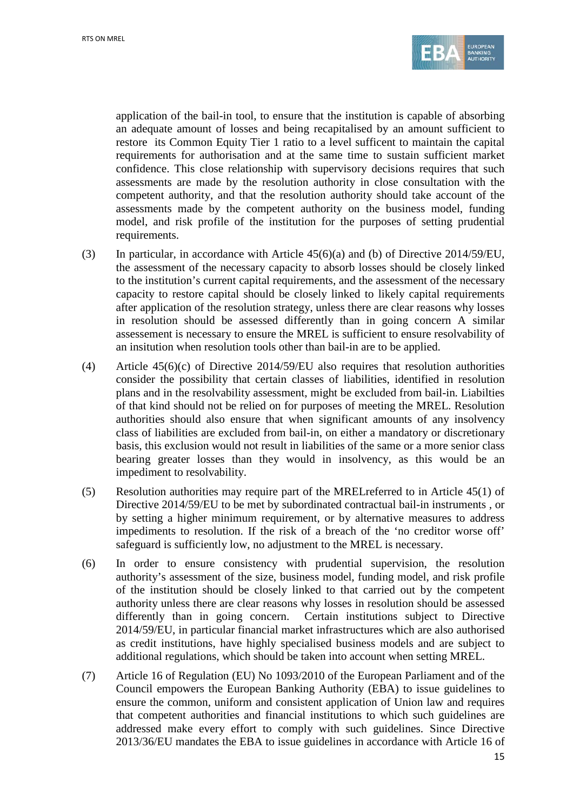

application of the bail-in tool, to ensure that the institution is capable of absorbing an adequate amount of losses and being recapitalised by an amount sufficient to restore its Common Equity Tier 1 ratio to a level sufficent to maintain the capital requirements for authorisation and at the same time to sustain sufficient market confidence. This close relationship with supervisory decisions requires that such assessments are made by the resolution authority in close consultation with the competent authority, and that the resolution authority should take account of the assessments made by the competent authority on the business model, funding model, and risk profile of the institution for the purposes of setting prudential requirements.

- (3) In particular, in accordance with Article 45(6)(a) and (b) of Directive 2014/59/EU, the assessment of the necessary capacity to absorb losses should be closely linked to the institution's current capital requirements, and the assessment of the necessary capacity to restore capital should be closely linked to likely capital requirements after application of the resolution strategy, unless there are clear reasons why losses in resolution should be assessed differently than in going concern A similar assessement is necessary to ensure the MREL is sufficient to ensure resolvability of an insitution when resolution tools other than bail-in are to be applied.
- (4) Article 45(6)(c) of Directive 2014/59/EU also requires that resolution authorities consider the possibility that certain classes of liabilities, identified in resolution plans and in the resolvability assessment, might be excluded from bail-in*.* Liabilties of that kind should not be relied on for purposes of meeting the MREL. Resolution authorities should also ensure that when significant amounts of any insolvency class of liabilities are excluded from bail-in, on either a mandatory or discretionary basis, this exclusion would not result in liabilities of the same or a more senior class bearing greater losses than they would in insolvency, as this would be an impediment to resolvability.
- (5) Resolution authorities may require part of the MRELreferred to in Article 45(1) of Directive 2014/59/EU to be met by subordinated contractual bail-in instruments , or by setting a higher minimum requirement, or by alternative measures to address impediments to resolution. If the risk of a breach of the 'no creditor worse off' safeguard is sufficiently low, no adjustment to the MREL is necessary.
- (6) In order to ensure consistency with prudential supervision, the resolution authority's assessment of the size, business model, funding model, and risk profile of the institution should be closely linked to that carried out by the competent authority unless there are clear reasons why losses in resolution should be assessed differently than in going concern. Certain institutions subject to Directive 2014/59/EU, in particular financial market infrastructures which are also authorised as credit institutions, have highly specialised business models and are subject to additional regulations, which should be taken into account when setting MREL.
- (7) Article 16 of Regulation (EU) No 1093/2010 of the European Parliament and of the Council empowers the European Banking Authority (EBA) to issue guidelines to ensure the common, uniform and consistent application of Union law and requires that competent authorities and financial institutions to which such guidelines are addressed make every effort to comply with such guidelines. Since Directive 2013/36/EU mandates the EBA to issue guidelines in accordance with Article 16 of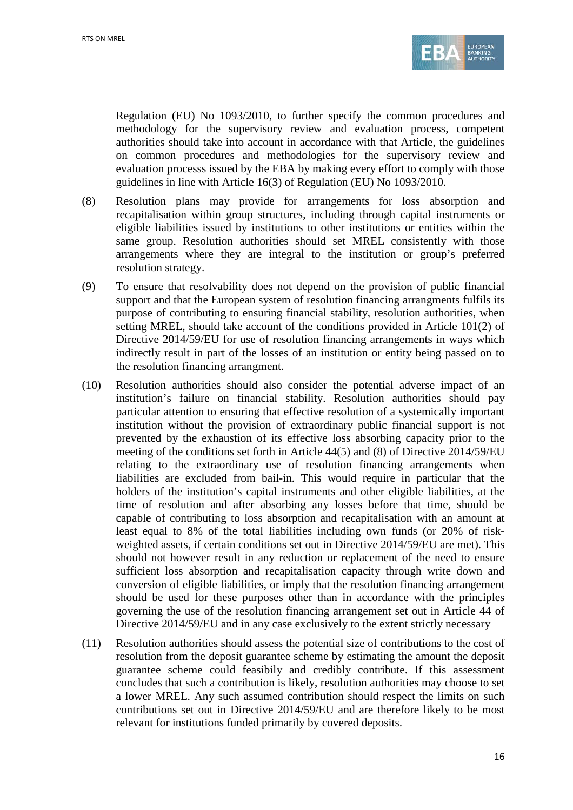

Regulation (EU) No 1093/2010, to further specify the common procedures and methodology for the supervisory review and evaluation process, competent authorities should take into account in accordance with that Article, the guidelines on common procedures and methodologies for the supervisory review and evaluation processs issued by the EBA by making every effort to comply with those guidelines in line with Article 16(3) of Regulation (EU) No 1093/2010.

- (8) Resolution plans may provide for arrangements for loss absorption and recapitalisation within group structures, including through capital instruments or eligible liabilities issued by institutions to other institutions or entities within the same group. Resolution authorities should set MREL consistently with those arrangements where they are integral to the institution or group's preferred resolution strategy.
- (9) To ensure that resolvability does not depend on the provision of public financial support and that the European system of resolution financing arrangments fulfils its purpose of contributing to ensuring financial stability, resolution authorities, when setting MREL, should take account of the conditions provided in Article 101(2) of Directive 2014/59/EU for use of resolution financing arrangements in ways which indirectly result in part of the losses of an institution or entity being passed on to the resolution financing arrangment.
- (10) Resolution authorities should also consider the potential adverse impact of an institution's failure on financial stability. Resolution authorities should pay particular attention to ensuring that effective resolution of a systemically important institution without the provision of extraordinary public financial support is not prevented by the exhaustion of its effective loss absorbing capacity prior to the meeting of the conditions set forth in Article 44(5) and (8) of Directive 2014/59/EU relating to the extraordinary use of resolution financing arrangements when liabilities are excluded from bail-in. This would require in particular that the holders of the institution's capital instruments and other eligible liabilities, at the time of resolution and after absorbing any losses before that time, should be capable of contributing to loss absorption and recapitalisation with an amount at least equal to 8% of the total liabilities including own funds (or 20% of riskweighted assets, if certain conditions set out in Directive 2014/59/EU are met). This should not however result in any reduction or replacement of the need to ensure sufficient loss absorption and recapitalisation capacity through write down and conversion of eligible liabilities, or imply that the resolution financing arrangement should be used for these purposes other than in accordance with the principles governing the use of the resolution financing arrangement set out in Article 44 of Directive 2014/59/EU and in any case exclusively to the extent strictly necessary
- (11) Resolution authorities should assess the potential size of contributions to the cost of resolution from the deposit guarantee scheme by estimating the amount the deposit guarantee scheme could feasibily and credibly contribute. If this assessment concludes that such a contribution is likely, resolution authorities may choose to set a lower MREL. Any such assumed contribution should respect the limits on such contributions set out in Directive 2014/59/EU and are therefore likely to be most relevant for institutions funded primarily by covered deposits.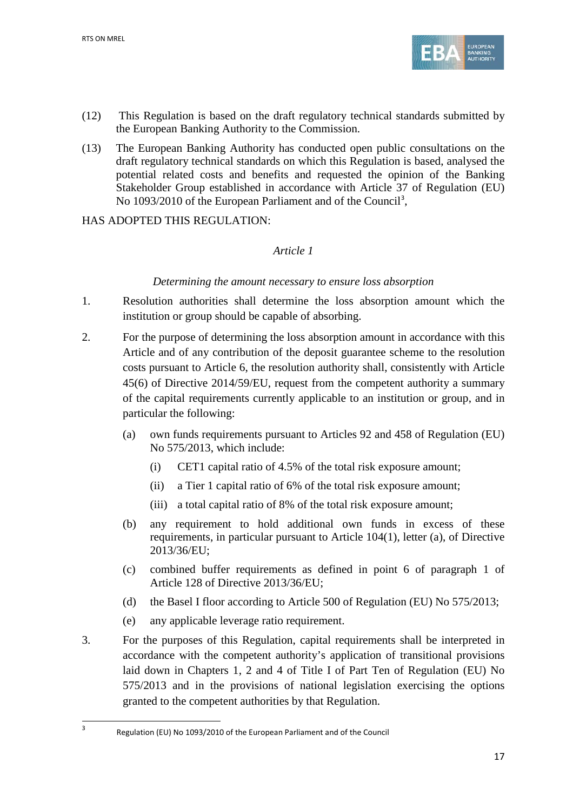$\overline{a}$ 



- (12) This Regulation is based on the draft regulatory technical standards submitted by the European Banking Authority to the Commission.
- (13) The European Banking Authority has conducted open public consultations on the draft regulatory technical standards on which this Regulation is based, analysed the potential related costs and benefits and requested the opinion of the Banking Stakeholder Group established in accordance with Article 37 of Regulation (EU) No 109[3](#page-16-0)/2010 of the European Parliament and of the Council<sup>3</sup>,

HAS ADOPTED THIS REGULATION:

## *Article 1*

### *Determining the amount necessary to ensure loss absorption*

- 1. Resolution authorities shall determine the loss absorption amount which the institution or group should be capable of absorbing.
- 2. For the purpose of determining the loss absorption amount in accordance with this Article and of any contribution of the deposit guarantee scheme to the resolution costs pursuant to Article 6, the resolution authority shall, consistently with Article 45(6) of Directive 2014/59/EU, request from the competent authority a summary of the capital requirements currently applicable to an institution or group, and in particular the following:
	- (a) own funds requirements pursuant to Articles 92 and 458 of Regulation (EU) No 575/2013, which include:
		- (i) CET1 capital ratio of 4.5% of the total risk exposure amount;
		- (ii) a Tier 1 capital ratio of 6% of the total risk exposure amount;
		- (iii) a total capital ratio of 8% of the total risk exposure amount;
	- (b) any requirement to hold additional own funds in excess of these requirements, in particular pursuant to Article 104(1), letter (a), of Directive 2013/36/EU;
	- (c) combined buffer requirements as defined in point 6 of paragraph 1 of Article 128 of Directive 2013/36/EU;
	- (d) the Basel I floor according to Article 500 of Regulation (EU) No 575/2013;
	- (e) any applicable leverage ratio requirement.
- 3. For the purposes of this Regulation, capital requirements shall be interpreted in accordance with the competent authority's application of transitional provisions laid down in Chapters 1, 2 and 4 of Title I of Part Ten of Regulation (EU) No 575/2013 and in the provisions of national legislation exercising the options granted to the competent authorities by that Regulation.

<span id="page-16-0"></span><sup>3</sup> Regulation (EU) No 1093/2010 of the European Parliament and of the Council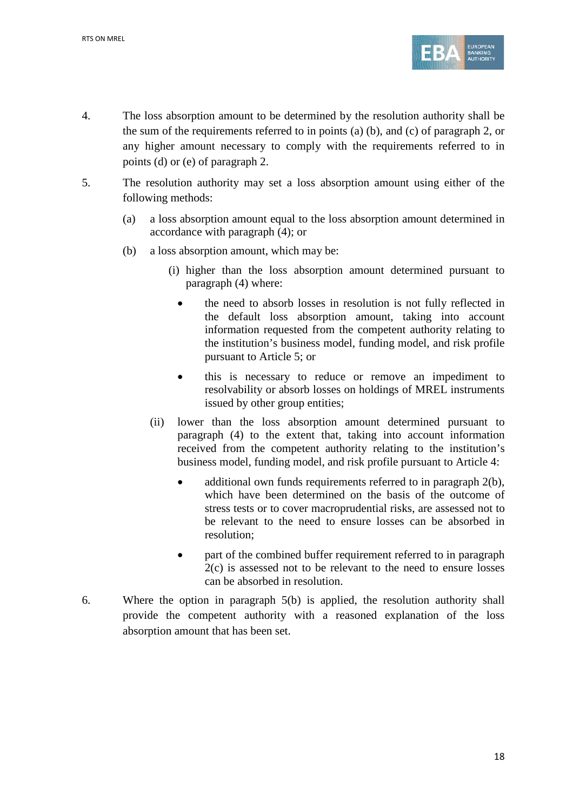

- 4. The loss absorption amount to be determined by the resolution authority shall be the sum of the requirements referred to in points (a) (b), and (c) of paragraph 2, or any higher amount necessary to comply with the requirements referred to in points (d) or (e) of paragraph 2.
- 5. The resolution authority may set a loss absorption amount using either of the following methods:
	- (a) a loss absorption amount equal to the loss absorption amount determined in accordance with paragraph (4); or
	- (b) a loss absorption amount, which may be:
		- (i) higher than the loss absorption amount determined pursuant to paragraph (4) where:
			- the need to absorb losses in resolution is not fully reflected in the default loss absorption amount, taking into account information requested from the competent authority relating to the institution's business model, funding model, and risk profile pursuant to Article 5; or
			- this is necessary to reduce or remove an impediment to resolvability or absorb losses on holdings of MREL instruments issued by other group entities;
		- (ii) lower than the loss absorption amount determined pursuant to paragraph (4) to the extent that, taking into account information received from the competent authority relating to the institution's business model, funding model, and risk profile pursuant to Article 4:
			- additional own funds requirements referred to in paragraph 2(b), which have been determined on the basis of the outcome of stress tests or to cover macroprudential risks, are assessed not to be relevant to the need to ensure losses can be absorbed in resolution;
			- part of the combined buffer requirement referred to in paragraph 2(c) is assessed not to be relevant to the need to ensure losses can be absorbed in resolution.
- 6. Where the option in paragraph 5(b) is applied, the resolution authority shall provide the competent authority with a reasoned explanation of the loss absorption amount that has been set.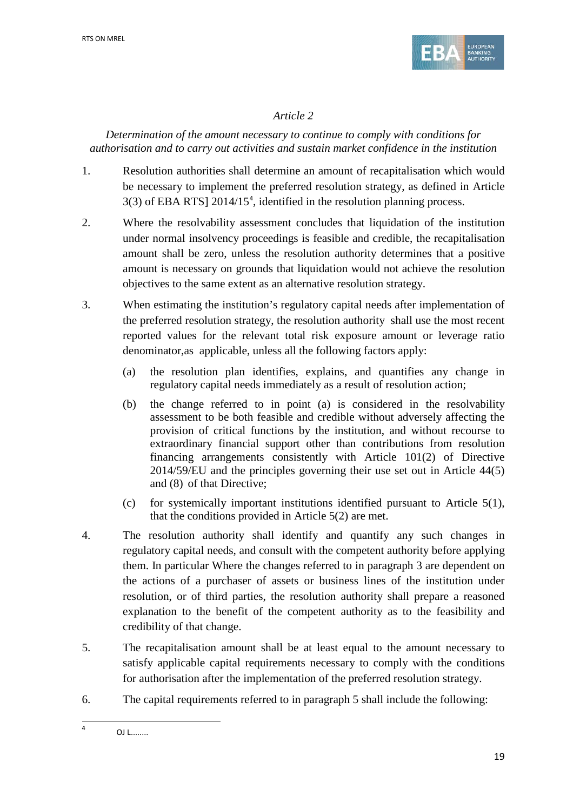

# *Article 2*

*Determination of the amount necessary to continue to comply with conditions for authorisation and to carry out activities and sustain market confidence in the institution*

- 1. Resolution authorities shall determine an amount of recapitalisation which would be necessary to implement the preferred resolution strategy, as defined in Article 3(3) of EBA RTS] 2014/15[4](#page-18-0) , identified in the resolution planning process.
- 2. Where the resolvability assessment concludes that liquidation of the institution under normal insolvency proceedings is feasible and credible, the recapitalisation amount shall be zero, unless the resolution authority determines that a positive amount is necessary on grounds that liquidation would not achieve the resolution objectives to the same extent as an alternative resolution strategy.
- 3. When estimating the institution's regulatory capital needs after implementation of the preferred resolution strategy, the resolution authority shall use the most recent reported values for the relevant total risk exposure amount or leverage ratio denominator,as applicable, unless all the following factors apply:
	- (a) the resolution plan identifies, explains, and quantifies any change in regulatory capital needs immediately as a result of resolution action;
	- (b) the change referred to in point (a) is considered in the resolvability assessment to be both feasible and credible without adversely affecting the provision of critical functions by the institution, and without recourse to extraordinary financial support other than contributions from resolution financing arrangements consistently with Article 101(2) of Directive 2014/59/EU and the principles governing their use set out in Article 44(5) and (8) of that Directive;
	- (c) for systemically important institutions identified pursuant to Article 5(1), that the conditions provided in Article 5(2) are met.
- 4. The resolution authority shall identify and quantify any such changes in regulatory capital needs, and consult with the competent authority before applying them. In particular Where the changes referred to in paragraph 3 are dependent on the actions of a purchaser of assets or business lines of the institution under resolution, or of third parties, the resolution authority shall prepare a reasoned explanation to the benefit of the competent authority as to the feasibility and credibility of that change.
- 5. The recapitalisation amount shall be at least equal to the amount necessary to satisfy applicable capital requirements necessary to comply with the conditions for authorisation after the implementation of the preferred resolution strategy.
- 6. The capital requirements referred to in paragraph 5 shall include the following:

 $\overline{a}$ 

<span id="page-18-0"></span> $4$  OJ L........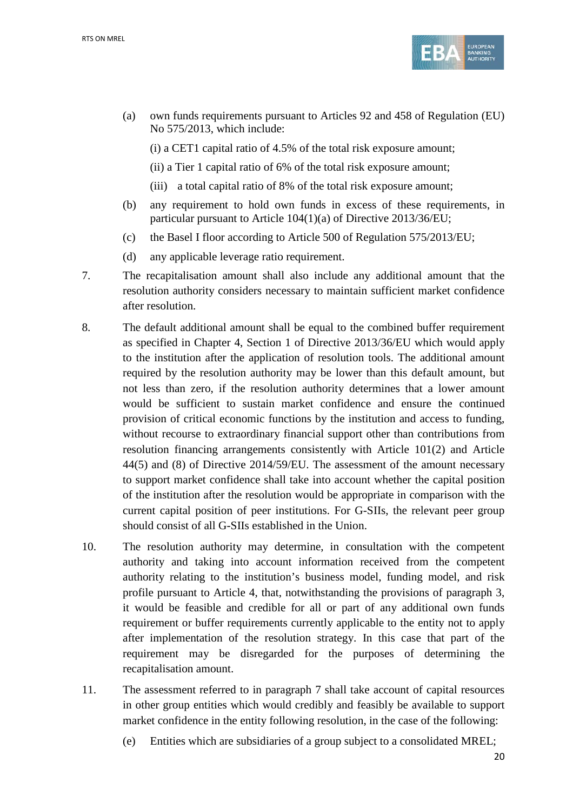

- (a) own funds requirements pursuant to Articles 92 and 458 of Regulation (EU) No 575/2013, which include:
	- (i) a CET1 capital ratio of 4.5% of the total risk exposure amount;
	- (ii) a Tier 1 capital ratio of 6% of the total risk exposure amount;
	- (iii) a total capital ratio of 8% of the total risk exposure amount;
- (b) any requirement to hold own funds in excess of these requirements, in particular pursuant to Article 104(1)(a) of Directive 2013/36/EU;
- (c) the Basel I floor according to Article 500 of Regulation 575/2013/EU;
- (d) any applicable leverage ratio requirement.
- 7. The recapitalisation amount shall also include any additional amount that the resolution authority considers necessary to maintain sufficient market confidence after resolution.
- 8. The default additional amount shall be equal to the combined buffer requirement as specified in Chapter 4, Section 1 of Directive 2013/36/EU which would apply to the institution after the application of resolution tools. The additional amount required by the resolution authority may be lower than this default amount, but not less than zero, if the resolution authority determines that a lower amount would be sufficient to sustain market confidence and ensure the continued provision of critical economic functions by the institution and access to funding, without recourse to extraordinary financial support other than contributions from resolution financing arrangements consistently with Article 101(2) and Article 44(5) and (8) of Directive 2014/59/EU. The assessment of the amount necessary to support market confidence shall take into account whether the capital position of the institution after the resolution would be appropriate in comparison with the current capital position of peer institutions. For G-SIIs, the relevant peer group should consist of all G-SIIs established in the Union.
- 10. The resolution authority may determine, in consultation with the competent authority and taking into account information received from the competent authority relating to the institution's business model, funding model, and risk profile pursuant to Article 4, that, notwithstanding the provisions of paragraph 3, it would be feasible and credible for all or part of any additional own funds requirement or buffer requirements currently applicable to the entity not to apply after implementation of the resolution strategy. In this case that part of the requirement may be disregarded for the purposes of determining the recapitalisation amount.
- 11. The assessment referred to in paragraph 7 shall take account of capital resources in other group entities which would credibly and feasibly be available to support market confidence in the entity following resolution, in the case of the following:
	- (e) Entities which are subsidiaries of a group subject to a consolidated MREL;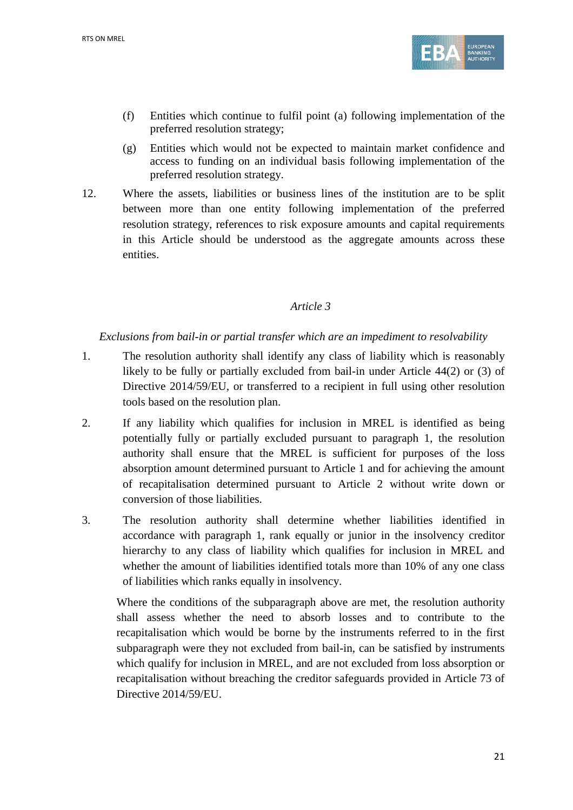

- (f) Entities which continue to fulfil point (a) following implementation of the preferred resolution strategy;
- (g) Entities which would not be expected to maintain market confidence and access to funding on an individual basis following implementation of the preferred resolution strategy.
- 12. Where the assets, liabilities or business lines of the institution are to be split between more than one entity following implementation of the preferred resolution strategy, references to risk exposure amounts and capital requirements in this Article should be understood as the aggregate amounts across these entities.

## *Article 3*

## *Exclusions from bail-in or partial transfer which are an impediment to resolvability*

- 1. The resolution authority shall identify any class of liability which is reasonably likely to be fully or partially excluded from bail-in under Article 44(2) or (3) of Directive 2014/59/EU, or transferred to a recipient in full using other resolution tools based on the resolution plan.
- 2. If any liability which qualifies for inclusion in MREL is identified as being potentially fully or partially excluded pursuant to paragraph 1, the resolution authority shall ensure that the MREL is sufficient for purposes of the loss absorption amount determined pursuant to Article 1 and for achieving the amount of recapitalisation determined pursuant to Article 2 without write down or conversion of those liabilities.
- 3. The resolution authority shall determine whether liabilities identified in accordance with paragraph 1, rank equally or junior in the insolvency creditor hierarchy to any class of liability which qualifies for inclusion in MREL and whether the amount of liabilities identified totals more than 10% of any one class of liabilities which ranks equally in insolvency.

Where the conditions of the subparagraph above are met, the resolution authority shall assess whether the need to absorb losses and to contribute to the recapitalisation which would be borne by the instruments referred to in the first subparagraph were they not excluded from bail-in, can be satisfied by instruments which qualify for inclusion in MREL, and are not excluded from loss absorption or recapitalisation without breaching the creditor safeguards provided in Article 73 of Directive 2014/59/EU.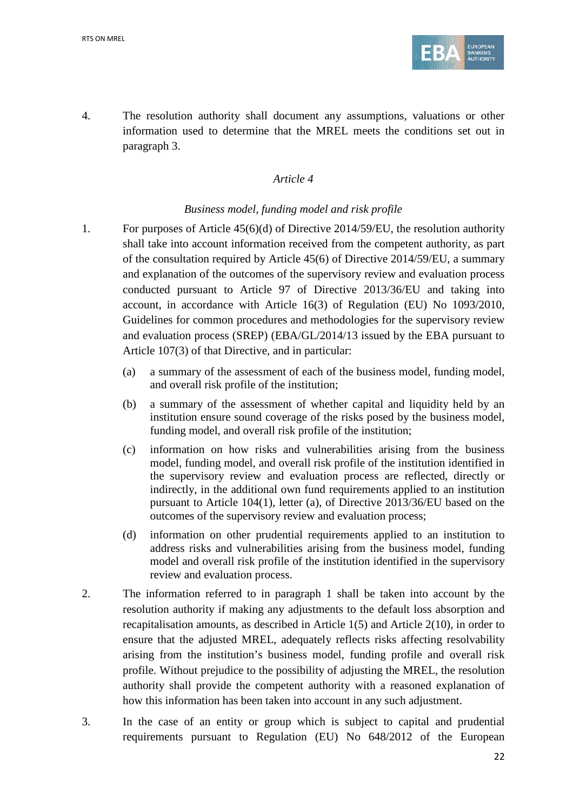

4. The resolution authority shall document any assumptions, valuations or other information used to determine that the MREL meets the conditions set out in paragraph 3.

## *Article 4*

## *Business model, funding model and risk profile*

- 1. For purposes of Article 45(6)(d) of Directive 2014/59/EU, the resolution authority shall take into account information received from the competent authority, as part of the consultation required by Article 45(6) of Directive 2014/59/EU, a summary and explanation of the outcomes of the supervisory review and evaluation process conducted pursuant to Article 97 of Directive 2013/36/EU and taking into account, in accordance with Article 16(3) of Regulation (EU) No 1093/2010, Guidelines for common procedures and methodologies for the supervisory review and evaluation process (SREP) (EBA/GL/2014/13 issued by the EBA pursuant to Article 107(3) of that Directive, and in particular:
	- (a) a summary of the assessment of each of the business model, funding model, and overall risk profile of the institution;
	- (b) a summary of the assessment of whether capital and liquidity held by an institution ensure sound coverage of the risks posed by the business model, funding model, and overall risk profile of the institution;
	- (c) information on how risks and vulnerabilities arising from the business model, funding model, and overall risk profile of the institution identified in the supervisory review and evaluation process are reflected, directly or indirectly, in the additional own fund requirements applied to an institution pursuant to Article 104(1), letter (a), of Directive 2013/36/EU based on the outcomes of the supervisory review and evaluation process;
	- (d) information on other prudential requirements applied to an institution to address risks and vulnerabilities arising from the business model, funding model and overall risk profile of the institution identified in the supervisory review and evaluation process.
- 2. The information referred to in paragraph 1 shall be taken into account by the resolution authority if making any adjustments to the default loss absorption and recapitalisation amounts, as described in Article 1(5) and Article 2(10), in order to ensure that the adjusted MREL, adequately reflects risks affecting resolvability arising from the institution's business model, funding profile and overall risk profile. Without prejudice to the possibility of adjusting the MREL, the resolution authority shall provide the competent authority with a reasoned explanation of how this information has been taken into account in any such adjustment.
- 3. In the case of an entity or group which is subject to capital and prudential requirements pursuant to Regulation (EU) No 648/2012 of the European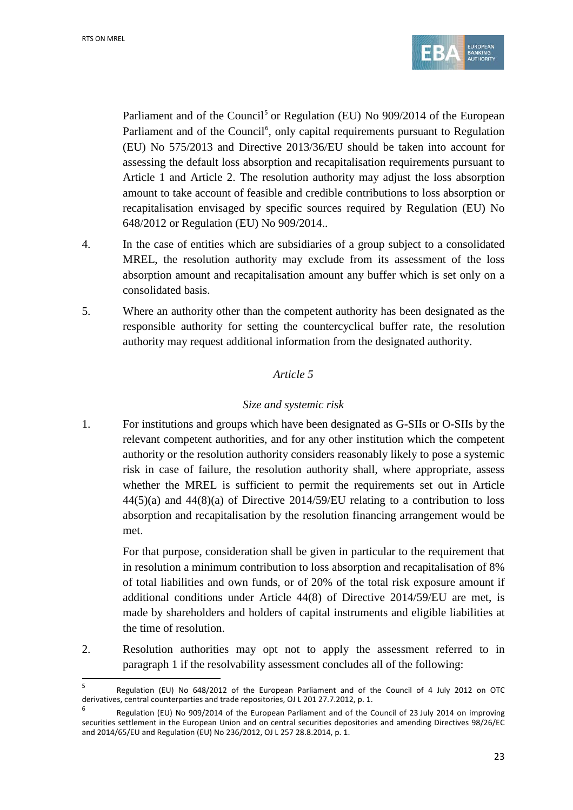$\overline{a}$ 



Parliament and of the Council<sup>[5](#page-22-0)</sup> or Regulation (EU) No 909/2014 of the European Parliament and of the Council<sup>[6](#page-22-1)</sup>, only capital requirements pursuant to Regulation (EU) No 575/2013 and Directive 2013/36/EU should be taken into account for assessing the default loss absorption and recapitalisation requirements pursuant to Article 1 and Article 2. The resolution authority may adjust the loss absorption amount to take account of feasible and credible contributions to loss absorption or recapitalisation envisaged by specific sources required by Regulation (EU) No 648/2012 or Regulation (EU) No 909/2014..

- 4. In the case of entities which are subsidiaries of a group subject to a consolidated MREL, the resolution authority may exclude from its assessment of the loss absorption amount and recapitalisation amount any buffer which is set only on a consolidated basis.
- 5. Where an authority other than the competent authority has been designated as the responsible authority for setting the countercyclical buffer rate, the resolution authority may request additional information from the designated authority.

### *Article 5*

# *Size and systemic risk*

1. For institutions and groups which have been designated as G-SIIs or O-SIIs by the relevant competent authorities, and for any other institution which the competent authority or the resolution authority considers reasonably likely to pose a systemic risk in case of failure, the resolution authority shall, where appropriate, assess whether the MREL is sufficient to permit the requirements set out in Article  $44(5)(a)$  and  $44(8)(a)$  of Directive 2014/59/EU relating to a contribution to loss absorption and recapitalisation by the resolution financing arrangement would be met.

For that purpose, consideration shall be given in particular to the requirement that in resolution a minimum contribution to loss absorption and recapitalisation of 8% of total liabilities and own funds, or of 20% of the total risk exposure amount if additional conditions under Article 44(8) of Directive 2014/59/EU are met, is made by shareholders and holders of capital instruments and eligible liabilities at the time of resolution.

2. Resolution authorities may opt not to apply the assessment referred to in paragraph 1 if the resolvability assessment concludes all of the following:

<span id="page-22-0"></span><sup>5</sup> Regulation (EU) No 648/2012 of the European Parliament and of the Council of 4 July 2012 on OTC derivatives, central counterparties and trade repositories, OJ L 201 27.7.2012, p. 1.

<span id="page-22-1"></span><sup>6</sup> Regulation (EU) No 909/2014 of the European Parliament and of the Council of 23 July 2014 on improving securities settlement in the European Union and on central securities depositories and amending Directives 98/26/EC and 2014/65/EU and Regulation (EU) No 236/2012, OJ L 257 28.8.2014, p. 1.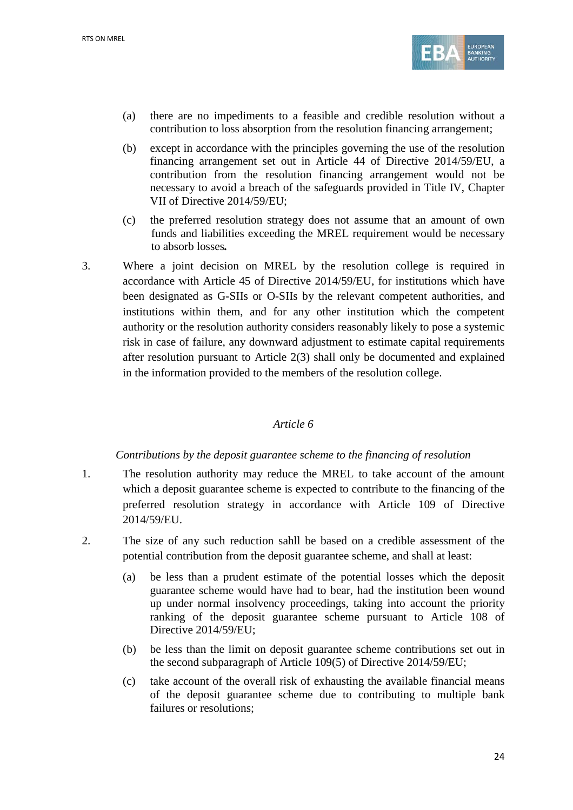

- (a) there are no impediments to a feasible and credible resolution without a contribution to loss absorption from the resolution financing arrangement;
- (b) except in accordance with the principles governing the use of the resolution financing arrangement set out in Article 44 of Directive 2014/59/EU, a contribution from the resolution financing arrangement would not be necessary to avoid a breach of the safeguards provided in Title IV, Chapter VII of Directive 2014/59/EU;
- (c) the preferred resolution strategy does not assume that an amount of own funds and liabilities exceeding the MREL requirement would be necessary to absorb losses*.*
- 3. Where a joint decision on MREL by the resolution college is required in accordance with Article 45 of Directive 2014/59/EU, for institutions which have been designated as G-SIIs or O-SIIs by the relevant competent authorities, and institutions within them, and for any other institution which the competent authority or the resolution authority considers reasonably likely to pose a systemic risk in case of failure, any downward adjustment to estimate capital requirements after resolution pursuant to Article 2(3) shall only be documented and explained in the information provided to the members of the resolution college.

### *Article 6*

### *Contributions by the deposit guarantee scheme to the financing of resolution*

- 1. The resolution authority may reduce the MREL to take account of the amount which a deposit guarantee scheme is expected to contribute to the financing of the preferred resolution strategy in accordance with Article 109 of Directive 2014/59/EU.
- 2. The size of any such reduction sahll be based on a credible assessment of the potential contribution from the deposit guarantee scheme, and shall at least:
	- (a) be less than a prudent estimate of the potential losses which the deposit guarantee scheme would have had to bear, had the institution been wound up under normal insolvency proceedings, taking into account the priority ranking of the deposit guarantee scheme pursuant to Article 108 of Directive 2014/59/EU;
	- (b) be less than the limit on deposit guarantee scheme contributions set out in the second subparagraph of Article 109(5) of Directive 2014/59/EU;
	- (c) take account of the overall risk of exhausting the available financial means of the deposit guarantee scheme due to contributing to multiple bank failures or resolutions;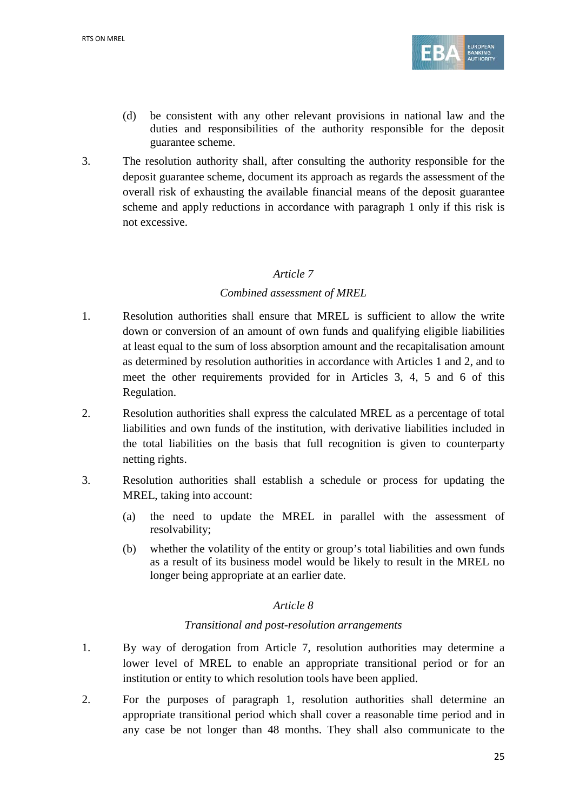

- (d) be consistent with any other relevant provisions in national law and the duties and responsibilities of the authority responsible for the deposit guarantee scheme.
- 3. The resolution authority shall, after consulting the authority responsible for the deposit guarantee scheme, document its approach as regards the assessment of the overall risk of exhausting the available financial means of the deposit guarantee scheme and apply reductions in accordance with paragraph 1 only if this risk is not excessive.

## *Article 7*

## *Combined assessment of MREL*

- 1. Resolution authorities shall ensure that MREL is sufficient to allow the write down or conversion of an amount of own funds and qualifying eligible liabilities at least equal to the sum of loss absorption amount and the recapitalisation amount as determined by resolution authorities in accordance with Articles 1 and 2, and to meet the other requirements provided for in Articles 3, 4, 5 and 6 of this Regulation.
- 2. Resolution authorities shall express the calculated MREL as a percentage of total liabilities and own funds of the institution, with derivative liabilities included in the total liabilities on the basis that full recognition is given to counterparty netting rights.
- 3. Resolution authorities shall establish a schedule or process for updating the MREL, taking into account:
	- (a) the need to update the MREL in parallel with the assessment of resolvability;
	- (b) whether the volatility of the entity or group's total liabilities and own funds as a result of its business model would be likely to result in the MREL no longer being appropriate at an earlier date.

### *Article 8*

### *Transitional and post-resolution arrangements*

- 1. By way of derogation from Article 7, resolution authorities may determine a lower level of MREL to enable an appropriate transitional period or for an institution or entity to which resolution tools have been applied.
- 2. For the purposes of paragraph 1, resolution authorities shall determine an appropriate transitional period which shall cover a reasonable time period and in any case be not longer than 48 months. They shall also communicate to the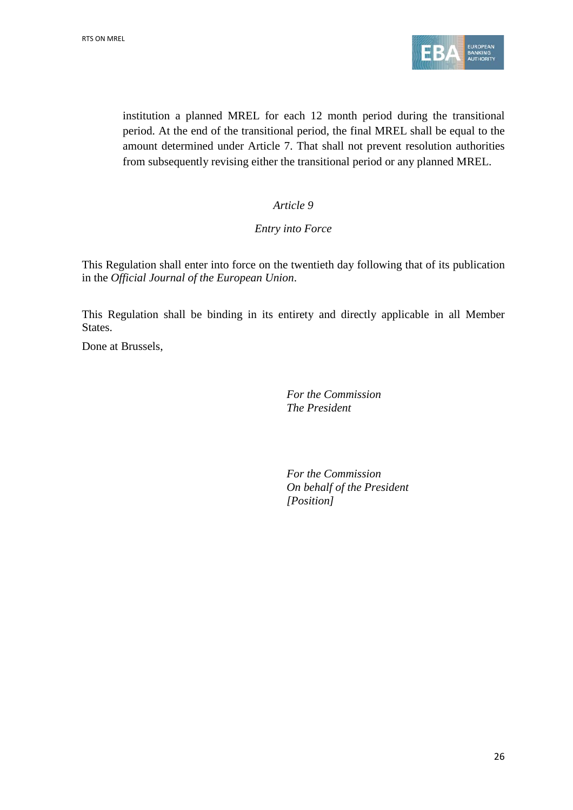

institution a planned MREL for each 12 month period during the transitional period. At the end of the transitional period, the final MREL shall be equal to the amount determined under Article 7. That shall not prevent resolution authorities from subsequently revising either the transitional period or any planned MREL.

## *Article 9*

### *Entry into Force*

This Regulation shall enter into force on the twentieth day following that of its publication in the *Official Journal of the European Union*.

This Regulation shall be binding in its entirety and directly applicable in all Member States.

Done at Brussels,

*For the Commission The President*

*For the Commission On behalf of the President [Position]*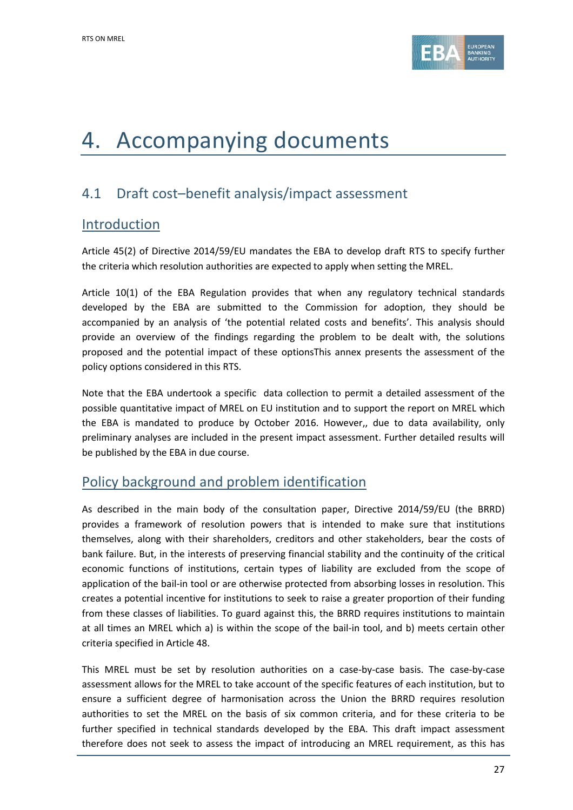

# 4. Accompanying documents

# 4.1 Draft cost–benefit analysis/impact assessment

# Introduction

Article 45(2) of Directive 2014/59/EU mandates the EBA to develop draft RTS to specify further the criteria which resolution authorities are expected to apply when setting the MREL.

Article 10(1) of the EBA Regulation provides that when any regulatory technical standards developed by the EBA are submitted to the Commission for adoption, they should be accompanied by an analysis of 'the potential related costs and benefits'. This analysis should provide an overview of the findings regarding the problem to be dealt with, the solutions proposed and the potential impact of these optionsThis annex presents the assessment of the policy options considered in this RTS.

Note that the EBA undertook a specific data collection to permit a detailed assessment of the possible quantitative impact of MREL on EU institution and to support the report on MREL which the EBA is mandated to produce by October 2016. However,, due to data availability, only preliminary analyses are included in the present impact assessment. Further detailed results will be published by the EBA in due course.

# Policy background and problem identification

As described in the main body of the consultation paper, Directive 2014/59/EU (the BRRD) provides a framework of resolution powers that is intended to make sure that institutions themselves, along with their shareholders, creditors and other stakeholders, bear the costs of bank failure. But, in the interests of preserving financial stability and the continuity of the critical economic functions of institutions, certain types of liability are excluded from the scope of application of the bail-in tool or are otherwise protected from absorbing losses in resolution. This creates a potential incentive for institutions to seek to raise a greater proportion of their funding from these classes of liabilities. To guard against this, the BRRD requires institutions to maintain at all times an MREL which a) is within the scope of the bail-in tool, and b) meets certain other criteria specified in Article 48.

This MREL must be set by resolution authorities on a case-by-case basis. The case-by-case assessment allows for the MREL to take account of the specific features of each institution, but to ensure a sufficient degree of harmonisation across the Union the BRRD requires resolution authorities to set the MREL on the basis of six common criteria, and for these criteria to be further specified in technical standards developed by the EBA. This draft impact assessment therefore does not seek to assess the impact of introducing an MREL requirement, as this has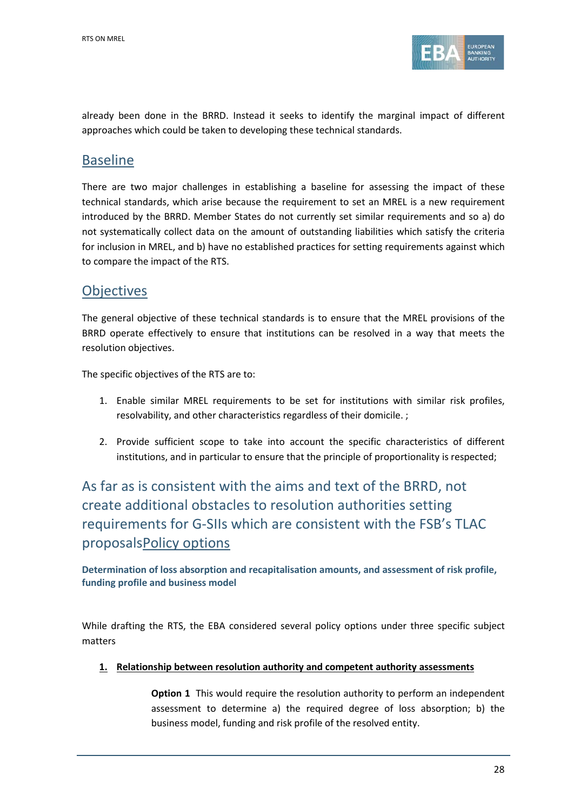

already been done in the BRRD. Instead it seeks to identify the marginal impact of different approaches which could be taken to developing these technical standards.

# Baseline

There are two major challenges in establishing a baseline for assessing the impact of these technical standards, which arise because the requirement to set an MREL is a new requirement introduced by the BRRD. Member States do not currently set similar requirements and so a) do not systematically collect data on the amount of outstanding liabilities which satisfy the criteria for inclusion in MREL, and b) have no established practices for setting requirements against which to compare the impact of the RTS.

# **Objectives**

The general objective of these technical standards is to ensure that the MREL provisions of the BRRD operate effectively to ensure that institutions can be resolved in a way that meets the resolution objectives.

The specific objectives of the RTS are to:

- 1. Enable similar MREL requirements to be set for institutions with similar risk profiles, resolvability, and other characteristics regardless of their domicile. ;
- 2. Provide sufficient scope to take into account the specific characteristics of different institutions, and in particular to ensure that the principle of proportionality is respected;

As far as is consistent with the aims and text of the BRRD, not create additional obstacles to resolution authorities setting requirements for G-SIIs which are consistent with the FSB's TLAC proposalsPolicy options

**Determination of loss absorption and recapitalisation amounts, and assessment of risk profile, funding profile and business model**

While drafting the RTS, the EBA considered several policy options under three specific subject matters

**1. Relationship between resolution authority and competent authority assessments**

**Option 1** This would require the resolution authority to perform an independent assessment to determine a) the required degree of loss absorption; b) the business model, funding and risk profile of the resolved entity.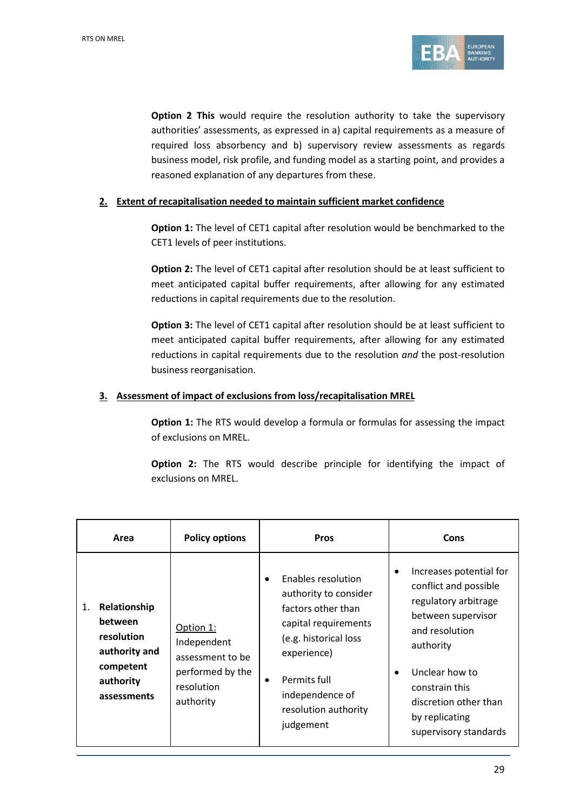

**Option 2 This** would require the resolution authority to take the supervisory authorities' assessments, as expressed in a) capital requirements as a measure of required loss absorbency and b) supervisory review assessments as regards business model, risk profile, and funding model as a starting point, and provides a reasoned explanation of any departures from these.

#### **2. Extent of recapitalisation needed to maintain sufficient market confidence**

**Option 1:** The level of CET1 capital after resolution would be benchmarked to the CET1 levels of peer institutions.

**Option 2:** The level of CET1 capital after resolution should be at least sufficient to meet anticipated capital buffer requirements, after allowing for any estimated reductions in capital requirements due to the resolution.

**Option 3:** The level of CET1 capital after resolution should be at least sufficient to meet anticipated capital buffer requirements, after allowing for any estimated reductions in capital requirements due to the resolution *and* the post-resolution business reorganisation.

#### **3. Assessment of impact of exclusions from loss/recapitalisation MREL**

**Option 1:** The RTS would develop a formula or formulas for assessing the impact of exclusions on MREL.

**Option 2:** The RTS would describe principle for identifying the impact of exclusions on MREL.

| Area                                                                                                  | <b>Policy options</b>                                                                       | <b>Pros</b>                                                                                                                                                                                               | Cons                                                                                                                                                                                                                                                            |
|-------------------------------------------------------------------------------------------------------|---------------------------------------------------------------------------------------------|-----------------------------------------------------------------------------------------------------------------------------------------------------------------------------------------------------------|-----------------------------------------------------------------------------------------------------------------------------------------------------------------------------------------------------------------------------------------------------------------|
| Relationship<br>1.<br>between<br>resolution<br>authority and<br>competent<br>authority<br>assessments | Option 1:<br>Independent<br>assessment to be<br>performed by the<br>resolution<br>authority | Enables resolution<br>authority to consider<br>factors other than<br>capital requirements<br>(e.g. historical loss<br>experience)<br>Permits full<br>independence of<br>resolution authority<br>judgement | Increases potential for<br>$\bullet$<br>conflict and possible<br>regulatory arbitrage<br>between supervisor<br>and resolution<br>authority<br>Unclear how to<br>$\bullet$<br>constrain this<br>discretion other than<br>by replicating<br>supervisory standards |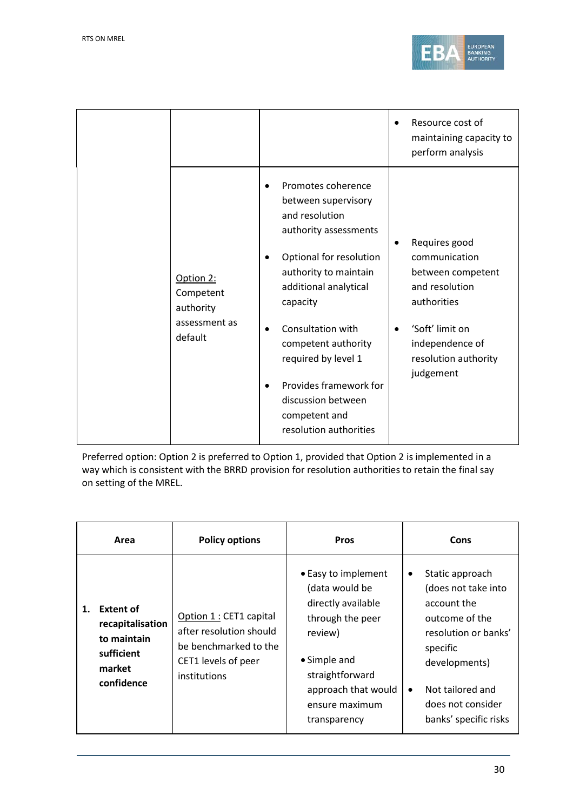

|                                                                 |                                                                                                                                                                                                                                                                                                                                                                       | Resource cost of<br>maintaining capacity to<br>perform analysis                                                                                                      |
|-----------------------------------------------------------------|-----------------------------------------------------------------------------------------------------------------------------------------------------------------------------------------------------------------------------------------------------------------------------------------------------------------------------------------------------------------------|----------------------------------------------------------------------------------------------------------------------------------------------------------------------|
| Option 2:<br>Competent<br>authority<br>assessment as<br>default | Promotes coherence<br>between supervisory<br>and resolution<br>authority assessments<br>Optional for resolution<br>$\bullet$<br>authority to maintain<br>additional analytical<br>capacity<br>Consultation with<br>$\bullet$<br>competent authority<br>required by level 1<br>Provides framework for<br>discussion between<br>competent and<br>resolution authorities | Requires good<br>٠<br>communication<br>between competent<br>and resolution<br>authorities<br>'Soft' limit on<br>independence of<br>resolution authority<br>judgement |

Preferred option: Option 2 is preferred to Option 1, provided that Option 2 is implemented in a way which is consistent with the BRRD provision for resolution authorities to retain the final say on setting of the MREL.

| Area                                                                                            | <b>Policy options</b>                                                                                              | <b>Pros</b>                                                                                                                                                                            | Cons                                                                                                                                                                                                             |
|-------------------------------------------------------------------------------------------------|--------------------------------------------------------------------------------------------------------------------|----------------------------------------------------------------------------------------------------------------------------------------------------------------------------------------|------------------------------------------------------------------------------------------------------------------------------------------------------------------------------------------------------------------|
| <b>Extent of</b><br>1.<br>recapitalisation<br>to maintain<br>sufficient<br>market<br>confidence | Option 1 : CET1 capital<br>after resolution should<br>be benchmarked to the<br>CET1 levels of peer<br>institutions | • Easy to implement<br>(data would be<br>directly available<br>through the peer<br>review)<br>• Simple and<br>straightforward<br>approach that would<br>ensure maximum<br>transparency | Static approach<br>٠<br>(does not take into<br>account the<br>outcome of the<br>resolution or banks'<br>specific<br>developments)<br>Not tailored and<br>$\bullet$<br>does not consider<br>banks' specific risks |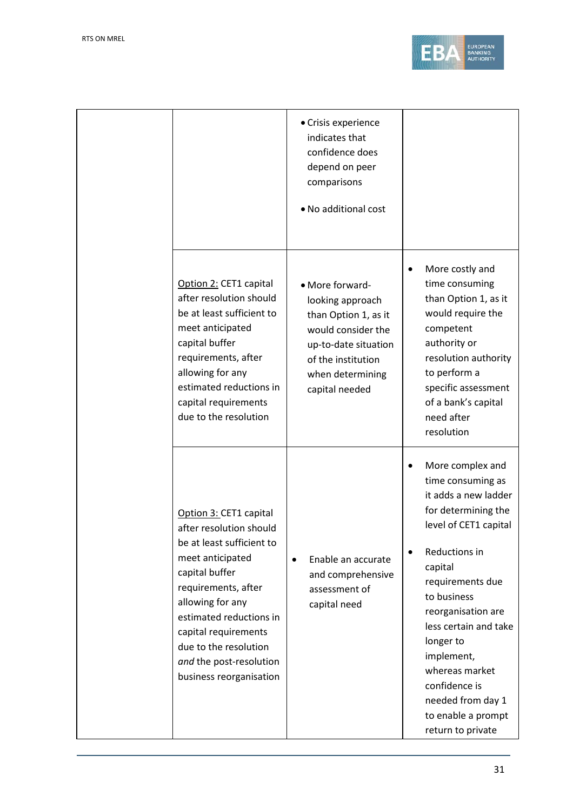

|                                                                                                                                                                                                                                                                                                   | • Crisis experience<br>indicates that<br>confidence does<br>depend on peer<br>comparisons<br>• No additional cost                                                     |                                                                                                                                                                                                                                                                                                                                                                                     |
|---------------------------------------------------------------------------------------------------------------------------------------------------------------------------------------------------------------------------------------------------------------------------------------------------|-----------------------------------------------------------------------------------------------------------------------------------------------------------------------|-------------------------------------------------------------------------------------------------------------------------------------------------------------------------------------------------------------------------------------------------------------------------------------------------------------------------------------------------------------------------------------|
| Option 2: CET1 capital<br>after resolution should<br>be at least sufficient to<br>meet anticipated<br>capital buffer<br>requirements, after<br>allowing for any<br>estimated reductions in<br>capital requirements<br>due to the resolution                                                       | • More forward-<br>looking approach<br>than Option 1, as it<br>would consider the<br>up-to-date situation<br>of the institution<br>when determining<br>capital needed | More costly and<br>$\bullet$<br>time consuming<br>than Option 1, as it<br>would require the<br>competent<br>authority or<br>resolution authority<br>to perform a<br>specific assessment<br>of a bank's capital<br>need after<br>resolution                                                                                                                                          |
| Option 3: CET1 capital<br>after resolution should<br>be at least sufficient to<br>meet anticipated<br>capital buffer<br>requirements, after<br>allowing for any<br>estimated reductions in<br>capital requirements<br>due to the resolution<br>and the post-resolution<br>business reorganisation | Enable an accurate<br>$\bullet$<br>and comprehensive<br>assessment of<br>capital need                                                                                 | More complex and<br>$\bullet$<br>time consuming as<br>it adds a new ladder<br>for determining the<br>level of CET1 capital<br>Reductions in<br>$\bullet$<br>capital<br>requirements due<br>to business<br>reorganisation are<br>less certain and take<br>longer to<br>implement,<br>whereas market<br>confidence is<br>needed from day 1<br>to enable a prompt<br>return to private |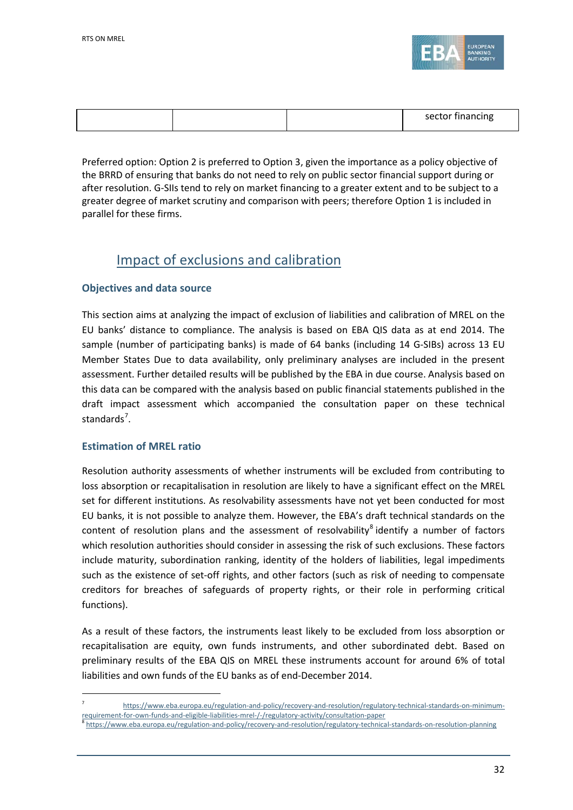

|  | sector financing |
|--|------------------|
|  |                  |

Preferred option: Option 2 is preferred to Option 3, given the importance as a policy objective of the BRRD of ensuring that banks do not need to rely on public sector financial support during or after resolution. G-SIIs tend to rely on market financing to a greater extent and to be subject to a greater degree of market scrutiny and comparison with peers; therefore Option 1 is included in parallel for these firms.

# Impact of exclusions and calibration

### **Objectives and data source**

This section aims at analyzing the impact of exclusion of liabilities and calibration of MREL on the EU banks' distance to compliance. The analysis is based on EBA QIS data as at end 2014. The sample (number of participating banks) is made of 64 banks (including 14 G-SIBs) across 13 EU Member States Due to data availability, only preliminary analyses are included in the present assessment. Further detailed results will be published by the EBA in due course. Analysis based on this data can be compared with the analysis based on public financial statements published in the draft impact assessment which accompanied the consultation paper on these technical standards<sup>[7](#page-31-0)</sup>.

### **Estimation of MREL ratio**

 $\overline{a}$ 

Resolution authority assessments of whether instruments will be excluded from contributing to loss absorption or recapitalisation in resolution are likely to have a significant effect on the MREL set for different institutions. As resolvability assessments have not yet been conducted for most EU banks, it is not possible to analyze them. However, the EBA's draft technical standards on the content of resolution plans and the assessment of resolvability $\delta$  identify a number of factors which resolution authorities should consider in assessing the risk of such exclusions. These factors include maturity, subordination ranking, identity of the holders of liabilities, legal impediments such as the existence of set-off rights, and other factors (such as risk of needing to compensate creditors for breaches of safeguards of property rights, or their role in performing critical functions).

As a result of these factors, the instruments least likely to be excluded from loss absorption or recapitalisation are equity, own funds instruments, and other subordinated debt. Based on preliminary results of the EBA QIS on MREL these instruments account for around 6% of total liabilities and own funds of the EU banks as of end-December 2014.

<span id="page-31-0"></span><sup>7</sup> https://www.eba.europa.eu/regulation-and-policy/recovery-and-resolution/regulatory-technical-standards-on-minimumrequirement-for-own-funds-and-eligible-liabilities-mrel-/-/regulatory-activity/consultation-paper<br><sup>8</sup> https://www.eba.europa.eu/regulation-and-policy/recovery-and-resolution/regulatory-technical-standards-on-resolution-pla

<span id="page-31-1"></span>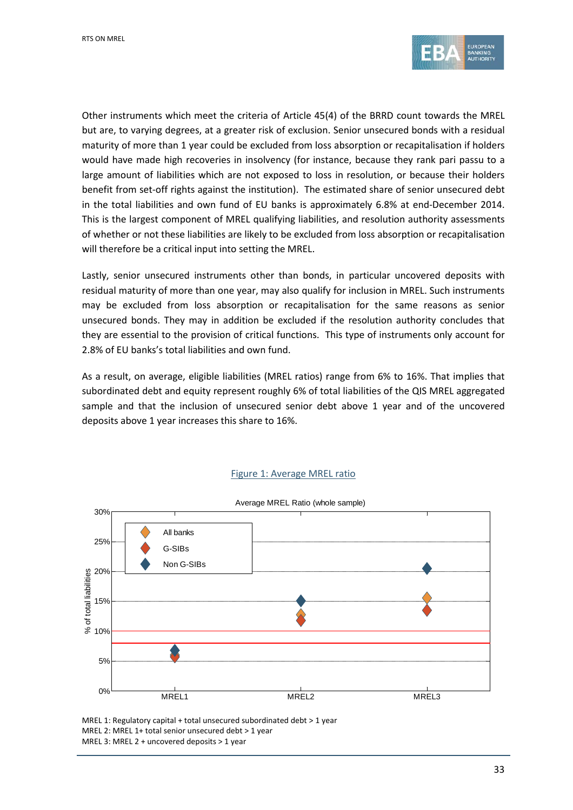

Other instruments which meet the criteria of Article 45(4) of the BRRD count towards the MREL but are, to varying degrees, at a greater risk of exclusion. Senior unsecured bonds with a residual maturity of more than 1 year could be excluded from loss absorption or recapitalisation if holders would have made high recoveries in insolvency (for instance, because they rank pari passu to a large amount of liabilities which are not exposed to loss in resolution, or because their holders benefit from set-off rights against the institution). The estimated share of senior unsecured debt in the total liabilities and own fund of EU banks is approximately 6.8% at end-December 2014. This is the largest component of MREL qualifying liabilities, and resolution authority assessments of whether or not these liabilities are likely to be excluded from loss absorption or recapitalisation will therefore be a critical input into setting the MREL.

Lastly, senior unsecured instruments other than bonds, in particular uncovered deposits with residual maturity of more than one year, may also qualify for inclusion in MREL. Such instruments may be excluded from loss absorption or recapitalisation for the same reasons as senior unsecured bonds. They may in addition be excluded if the resolution authority concludes that they are essential to the provision of critical functions. This type of instruments only account for 2.8% of EU banks's total liabilities and own fund.

As a result, on average, eligible liabilities (MREL ratios) range from 6% to 16%. That implies that subordinated debt and equity represent roughly 6% of total liabilities of the QIS MREL aggregated sample and that the inclusion of unsecured senior debt above 1 year and of the uncovered deposits above 1 year increases this share to 16%.

#### Figure 1: Average MREL ratio



MREL 1: Regulatory capital + total unsecured subordinated debt > 1 year MREL 2: MREL 1+ total senior unsecured debt > 1 year MREL 3: MREL 2 + uncovered deposits > 1 year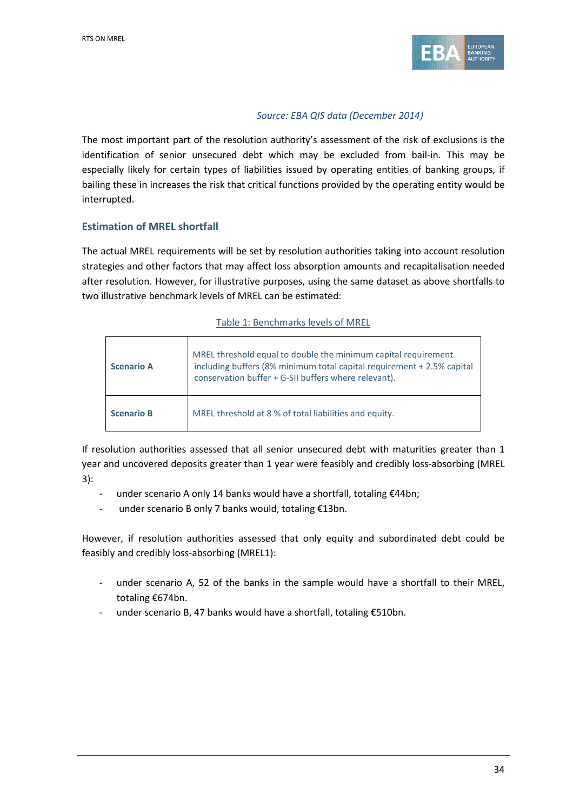

### *Source: EBA QIS data (December 2014)*

The most important part of the resolution authority's assessment of the risk of exclusions is the identification of senior unsecured debt which may be excluded from bail-in. This may be especially likely for certain types of liabilities issued by operating entities of banking groups, if bailing these in increases the risk that critical functions provided by the operating entity would be interrupted.

## **Estimation of MREL shortfall**

The actual MREL requirements will be set by resolution authorities taking into account resolution strategies and other factors that may affect loss absorption amounts and recapitalisation needed after resolution. However, for illustrative purposes, using the same dataset as above shortfalls to two illustrative benchmark levels of MREL can be estimated:

#### Table 1: Benchmarks levels of MREL

| <b>Scenario A</b> | MREL threshold equal to double the minimum capital requirement<br>including buffers (8% minimum total capital requirement + 2.5% capital<br>conservation buffer + G-SII buffers where relevant). |
|-------------------|--------------------------------------------------------------------------------------------------------------------------------------------------------------------------------------------------|
| <b>Scenario B</b> | MREL threshold at 8 % of total liabilities and equity.                                                                                                                                           |

If resolution authorities assessed that all senior unsecured debt with maturities greater than 1 year and uncovered deposits greater than 1 year were feasibly and credibly loss-absorbing (MREL 3):

- under scenario A only 14 banks would have a shortfall, totaling €44bn;
- under scenario B only 7 banks would, totaling €13bn.

However, if resolution authorities assessed that only equity and subordinated debt could be feasibly and credibly loss-absorbing (MREL1):

- under scenario A, 52 of the banks in the sample would have a shortfall to their MREL, totaling €674bn.
- under scenario B, 47 banks would have a shortfall, totaling  $\epsilon$ 510bn.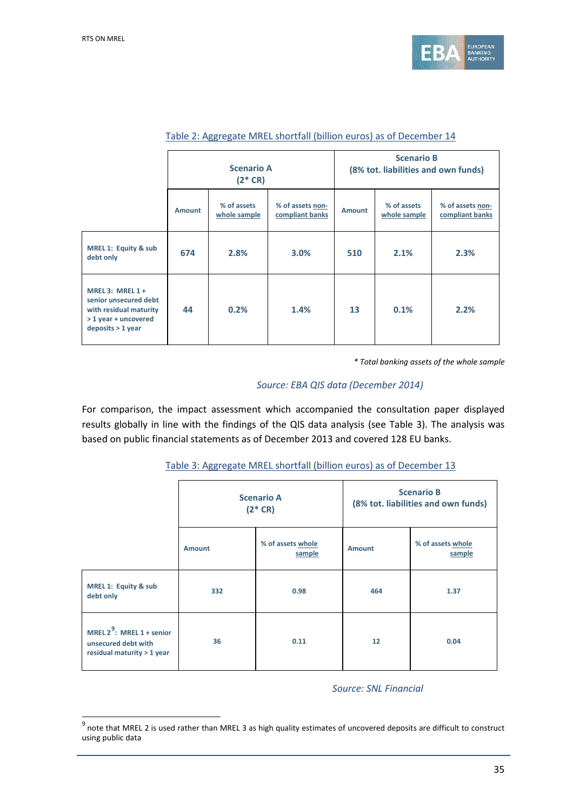

|                                                                                                                      |               | <b>Scenario A</b><br>$(2 * CR)$ |                                     | <b>Scenario B</b><br>(8% tot. liabilities and own funds) |                             |                                     |
|----------------------------------------------------------------------------------------------------------------------|---------------|---------------------------------|-------------------------------------|----------------------------------------------------------|-----------------------------|-------------------------------------|
|                                                                                                                      | <b>Amount</b> | % of assets<br>whole sample     | % of assets non-<br>compliant banks | <b>Amount</b>                                            | % of assets<br>whole sample | % of assets non-<br>compliant banks |
| <b>MREL 1: Equity &amp; sub</b><br>debt only                                                                         | 674           | 2.8%                            | 3.0%                                | 510                                                      | 2.1%                        | 2.3%                                |
| MREL 3: MREL $1 +$<br>senior unsecured debt<br>with residual maturity<br>> 1 year + uncovered<br>$deposits > 1$ year | 44            | 0.2%                            | 1.4%                                | 13                                                       | 0.1%                        | 2.2%                                |

#### Table 2: Aggregate MREL shortfall (billion euros) as of December 14

*\* Total banking assets of the whole sample* 

#### *Source: EBA QIS data (December 2014)*

For comparison, the impact assessment which accompanied the consultation paper displayed results globally in line with the findings of the QIS data analysis (see Table 3). The analysis was based on public financial statements as of December 2013 and covered 128 EU banks.

|                                                                                   | <b>Scenario A</b><br>$(2 * CR)$ |                             | <b>Scenario B</b><br>(8% tot. liabilities and own funds) |                             |
|-----------------------------------------------------------------------------------|---------------------------------|-----------------------------|----------------------------------------------------------|-----------------------------|
|                                                                                   | Amount                          | % of assets whole<br>sample | Amount                                                   | % of assets whole<br>sample |
| <b>MREL 1: Equity &amp; sub</b><br>debt only                                      | 332                             | 0.98                        | 464                                                      | 1.37                        |
| MREL $2^9$ : MREL 1 + senior<br>unsecured debt with<br>residual maturity > 1 year | 36                              | 0.11                        | 12                                                       | 0.04                        |

#### Table 3: Aggregate MREL shortfall (billion euros) as of December 13

*Source: SNL Financial*

<span id="page-34-0"></span><sup>9&</sup>lt;br><sup>9</sup> note that MREL 2 is used rather than MREL 3 as high quality estimates of uncovered deposits are difficult to construct using public data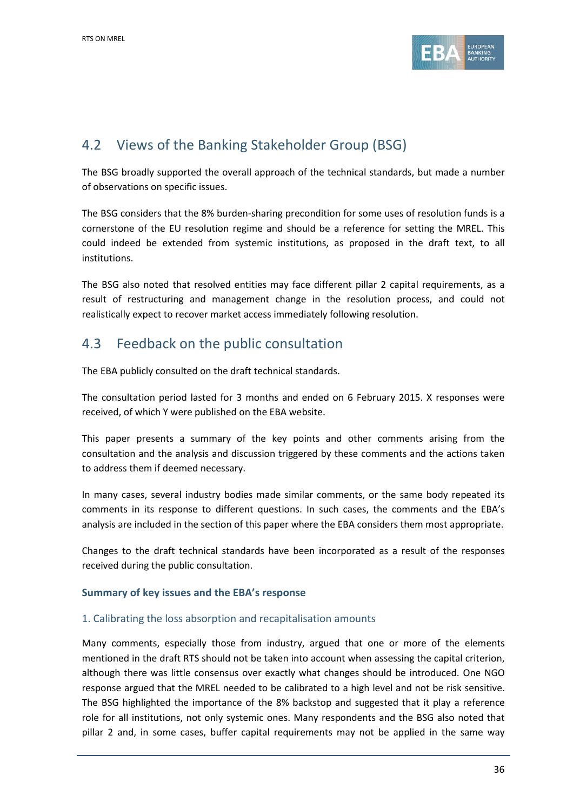

# 4.2 Views of the Banking Stakeholder Group (BSG)

The BSG broadly supported the overall approach of the technical standards, but made a number of observations on specific issues.

The BSG considers that the 8% burden-sharing precondition for some uses of resolution funds is a cornerstone of the EU resolution regime and should be a reference for setting the MREL. This could indeed be extended from systemic institutions, as proposed in the draft text, to all institutions.

The BSG also noted that resolved entities may face different pillar 2 capital requirements, as a result of restructuring and management change in the resolution process, and could not realistically expect to recover market access immediately following resolution.

# 4.3 Feedback on the public consultation

The EBA publicly consulted on the draft technical standards.

The consultation period lasted for 3 months and ended on 6 February 2015. X responses were received, of which Y were published on the EBA website.

This paper presents a summary of the key points and other comments arising from the consultation and the analysis and discussion triggered by these comments and the actions taken to address them if deemed necessary.

In many cases, several industry bodies made similar comments, or the same body repeated its comments in its response to different questions. In such cases, the comments and the EBA's analysis are included in the section of this paper where the EBA considers them most appropriate.

Changes to the draft technical standards have been incorporated as a result of the responses received during the public consultation.

### **Summary of key issues and the EBA's response**

### 1. Calibrating the loss absorption and recapitalisation amounts

Many comments, especially those from industry, argued that one or more of the elements mentioned in the draft RTS should not be taken into account when assessing the capital criterion, although there was little consensus over exactly what changes should be introduced. One NGO response argued that the MREL needed to be calibrated to a high level and not be risk sensitive. The BSG highlighted the importance of the 8% backstop and suggested that it play a reference role for all institutions, not only systemic ones. Many respondents and the BSG also noted that pillar 2 and, in some cases, buffer capital requirements may not be applied in the same way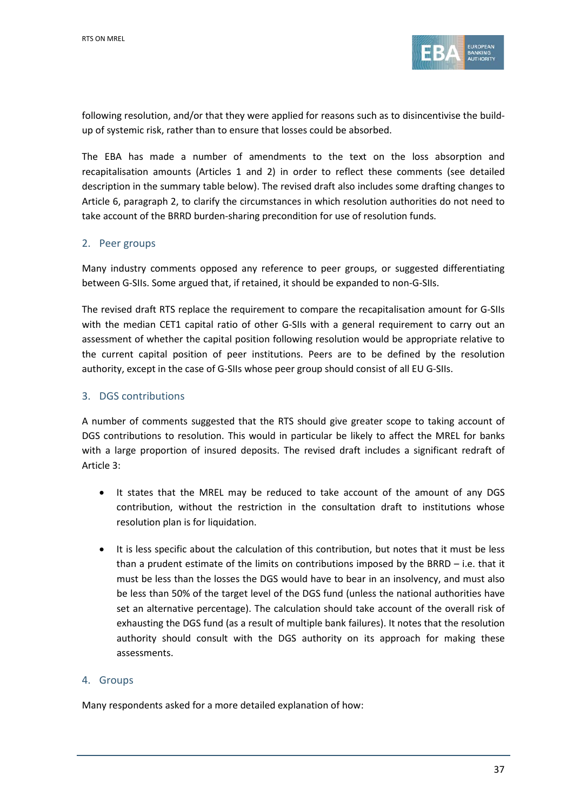

following resolution, and/or that they were applied for reasons such as to disincentivise the buildup of systemic risk, rather than to ensure that losses could be absorbed.

The EBA has made a number of amendments to the text on the loss absorption and recapitalisation amounts (Articles 1 and 2) in order to reflect these comments (see detailed description in the summary table below). The revised draft also includes some drafting changes to Article 6, paragraph 2, to clarify the circumstances in which resolution authorities do not need to take account of the BRRD burden-sharing precondition for use of resolution funds.

### 2. Peer groups

Many industry comments opposed any reference to peer groups, or suggested differentiating between G-SIIs. Some argued that, if retained, it should be expanded to non-G-SIIs.

The revised draft RTS replace the requirement to compare the recapitalisation amount for G-SIIs with the median CET1 capital ratio of other G-SIIs with a general requirement to carry out an assessment of whether the capital position following resolution would be appropriate relative to the current capital position of peer institutions. Peers are to be defined by the resolution authority, except in the case of G-SIIs whose peer group should consist of all EU G-SIIs.

### 3. DGS contributions

A number of comments suggested that the RTS should give greater scope to taking account of DGS contributions to resolution. This would in particular be likely to affect the MREL for banks with a large proportion of insured deposits. The revised draft includes a significant redraft of Article 3:

- It states that the MREL may be reduced to take account of the amount of any DGS contribution, without the restriction in the consultation draft to institutions whose resolution plan is for liquidation.
- It is less specific about the calculation of this contribution, but notes that it must be less than a prudent estimate of the limits on contributions imposed by the BRRD – i.e. that it must be less than the losses the DGS would have to bear in an insolvency, and must also be less than 50% of the target level of the DGS fund (unless the national authorities have set an alternative percentage). The calculation should take account of the overall risk of exhausting the DGS fund (as a result of multiple bank failures). It notes that the resolution authority should consult with the DGS authority on its approach for making these assessments.

#### 4. Groups

Many respondents asked for a more detailed explanation of how: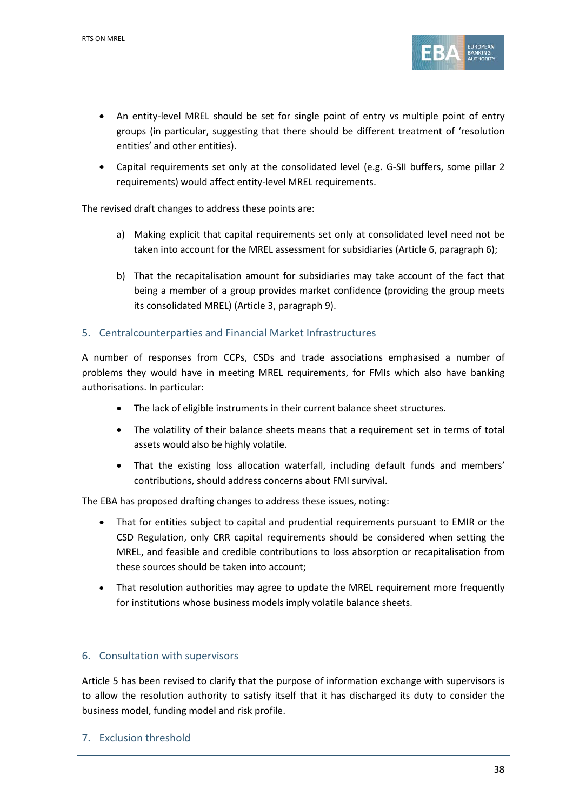

- An entity-level MREL should be set for single point of entry vs multiple point of entry groups (in particular, suggesting that there should be different treatment of 'resolution entities' and other entities).
- Capital requirements set only at the consolidated level (e.g. G-SII buffers, some pillar 2 requirements) would affect entity-level MREL requirements.

The revised draft changes to address these points are:

- a) Making explicit that capital requirements set only at consolidated level need not be taken into account for the MREL assessment for subsidiaries (Article 6, paragraph 6);
- b) That the recapitalisation amount for subsidiaries may take account of the fact that being a member of a group provides market confidence (providing the group meets its consolidated MREL) (Article 3, paragraph 9).

#### 5. Centralcounterparties and Financial Market Infrastructures

A number of responses from CCPs, CSDs and trade associations emphasised a number of problems they would have in meeting MREL requirements, for FMIs which also have banking authorisations. In particular:

- The lack of eligible instruments in their current balance sheet structures.
- The volatility of their balance sheets means that a requirement set in terms of total assets would also be highly volatile.
- That the existing loss allocation waterfall, including default funds and members' contributions, should address concerns about FMI survival.

The EBA has proposed drafting changes to address these issues, noting:

- That for entities subject to capital and prudential requirements pursuant to EMIR or the CSD Regulation, only CRR capital requirements should be considered when setting the MREL, and feasible and credible contributions to loss absorption or recapitalisation from these sources should be taken into account;
- That resolution authorities may agree to update the MREL requirement more frequently for institutions whose business models imply volatile balance sheets.

### 6. Consultation with supervisors

Article 5 has been revised to clarify that the purpose of information exchange with supervisors is to allow the resolution authority to satisfy itself that it has discharged its duty to consider the business model, funding model and risk profile.

7. Exclusion threshold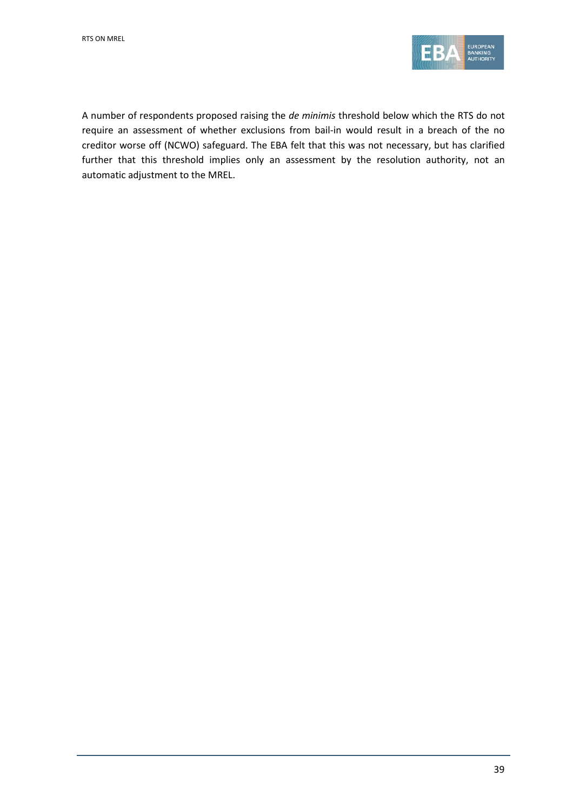

A number of respondents proposed raising the *de minimis* threshold below which the RTS do not require an assessment of whether exclusions from bail-in would result in a breach of the no creditor worse off (NCWO) safeguard. The EBA felt that this was not necessary, but has clarified further that this threshold implies only an assessment by the resolution authority, not an automatic adjustment to the MREL.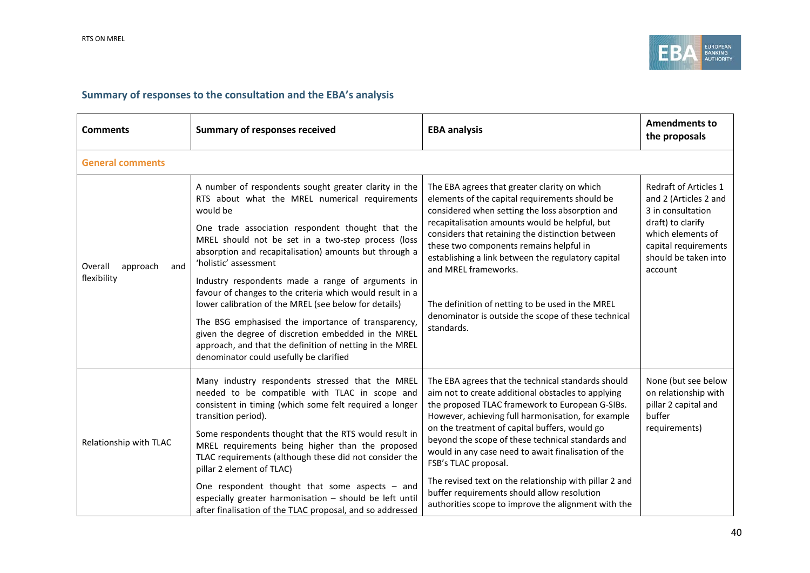

# **Summary of responses to the consultation and the EBA's analysis**

| <b>Comments</b>                           | <b>Summary of responses received</b>                                                                                                                                                                                                                                                                                                                                                                                                                                                                                                                                                                                                                                                                             | <b>EBA analysis</b>                                                                                                                                                                                                                                                                                                                                                                                                                                                                                                                                                    | <b>Amendments to</b><br>the proposals                                                                                                                                           |
|-------------------------------------------|------------------------------------------------------------------------------------------------------------------------------------------------------------------------------------------------------------------------------------------------------------------------------------------------------------------------------------------------------------------------------------------------------------------------------------------------------------------------------------------------------------------------------------------------------------------------------------------------------------------------------------------------------------------------------------------------------------------|------------------------------------------------------------------------------------------------------------------------------------------------------------------------------------------------------------------------------------------------------------------------------------------------------------------------------------------------------------------------------------------------------------------------------------------------------------------------------------------------------------------------------------------------------------------------|---------------------------------------------------------------------------------------------------------------------------------------------------------------------------------|
| <b>General comments</b>                   |                                                                                                                                                                                                                                                                                                                                                                                                                                                                                                                                                                                                                                                                                                                  |                                                                                                                                                                                                                                                                                                                                                                                                                                                                                                                                                                        |                                                                                                                                                                                 |
| Overall<br>approach<br>and<br>flexibility | A number of respondents sought greater clarity in the<br>RTS about what the MREL numerical requirements<br>would be<br>One trade association respondent thought that the<br>MREL should not be set in a two-step process (loss<br>absorption and recapitalisation) amounts but through a<br>'holistic' assessment<br>Industry respondents made a range of arguments in<br>favour of changes to the criteria which would result in a<br>lower calibration of the MREL (see below for details)<br>The BSG emphasised the importance of transparency,<br>given the degree of discretion embedded in the MREL<br>approach, and that the definition of netting in the MREL<br>denominator could usefully be clarified | The EBA agrees that greater clarity on which<br>elements of the capital requirements should be<br>considered when setting the loss absorption and<br>recapitalisation amounts would be helpful, but<br>considers that retaining the distinction between<br>these two components remains helpful in<br>establishing a link between the regulatory capital<br>and MREL frameworks.<br>The definition of netting to be used in the MREL<br>denominator is outside the scope of these technical<br>standards.                                                              | <b>Redraft of Articles 1</b><br>and 2 (Articles 2 and<br>3 in consultation<br>draft) to clarify<br>which elements of<br>capital requirements<br>should be taken into<br>account |
| Relationship with TLAC                    | Many industry respondents stressed that the MREL<br>needed to be compatible with TLAC in scope and<br>consistent in timing (which some felt required a longer<br>transition period).<br>Some respondents thought that the RTS would result in<br>MREL requirements being higher than the proposed<br>TLAC requirements (although these did not consider the<br>pillar 2 element of TLAC)<br>One respondent thought that some aspects $-$ and<br>especially greater harmonisation - should be left until<br>after finalisation of the TLAC proposal, and so addressed                                                                                                                                             | The EBA agrees that the technical standards should<br>aim not to create additional obstacles to applying<br>the proposed TLAC framework to European G-SIBs.<br>However, achieving full harmonisation, for example<br>on the treatment of capital buffers, would go<br>beyond the scope of these technical standards and<br>would in any case need to await finalisation of the<br>FSB's TLAC proposal.<br>The revised text on the relationship with pillar 2 and<br>buffer requirements should allow resolution<br>authorities scope to improve the alignment with the | None (but see below<br>on relationship with<br>pillar 2 capital and<br>buffer<br>requirements)                                                                                  |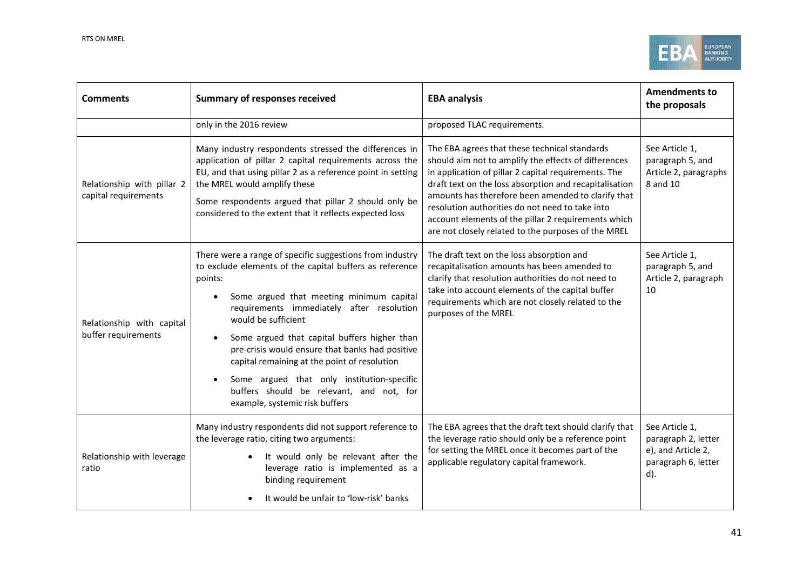

| <b>Comments</b>                                                                                                                                                                                                                                                                                                                                                                                                                                                                                                                                                                   | <b>Summary of responses received</b>                                                                                                                                                                                                                                                                                               | <b>EBA analysis</b>                                                                                                                                                                                                                                                                                                                                                                                                                            | <b>Amendments to</b><br>the proposals                                                     |
|-----------------------------------------------------------------------------------------------------------------------------------------------------------------------------------------------------------------------------------------------------------------------------------------------------------------------------------------------------------------------------------------------------------------------------------------------------------------------------------------------------------------------------------------------------------------------------------|------------------------------------------------------------------------------------------------------------------------------------------------------------------------------------------------------------------------------------------------------------------------------------------------------------------------------------|------------------------------------------------------------------------------------------------------------------------------------------------------------------------------------------------------------------------------------------------------------------------------------------------------------------------------------------------------------------------------------------------------------------------------------------------|-------------------------------------------------------------------------------------------|
|                                                                                                                                                                                                                                                                                                                                                                                                                                                                                                                                                                                   | only in the 2016 review                                                                                                                                                                                                                                                                                                            | proposed TLAC requirements.                                                                                                                                                                                                                                                                                                                                                                                                                    |                                                                                           |
| Relationship with pillar 2<br>capital requirements                                                                                                                                                                                                                                                                                                                                                                                                                                                                                                                                | Many industry respondents stressed the differences in<br>application of pillar 2 capital requirements across the<br>EU, and that using pillar 2 as a reference point in setting<br>the MREL would amplify these<br>Some respondents argued that pillar 2 should only be<br>considered to the extent that it reflects expected loss | The EBA agrees that these technical standards<br>should aim not to amplify the effects of differences<br>in application of pillar 2 capital requirements. The<br>draft text on the loss absorption and recapitalisation<br>amounts has therefore been amended to clarify that<br>resolution authorities do not need to take into<br>account elements of the pillar 2 requirements which<br>are not closely related to the purposes of the MREL | See Article 1,<br>paragraph 5, and<br>Article 2, paragraphs<br>8 and 10                   |
| There were a range of specific suggestions from industry<br>to exclude elements of the capital buffers as reference<br>points:<br>Some argued that meeting minimum capital<br>requirements immediately after resolution<br>would be sufficient<br>Relationship with capital<br>buffer requirements<br>Some argued that capital buffers higher than<br>pre-crisis would ensure that banks had positive<br>capital remaining at the point of resolution<br>Some argued that only institution-specific<br>buffers should be relevant, and not, for<br>example, systemic risk buffers |                                                                                                                                                                                                                                                                                                                                    | The draft text on the loss absorption and<br>recapitalisation amounts has been amended to<br>clarify that resolution authorities do not need to<br>take into account elements of the capital buffer<br>requirements which are not closely related to the<br>purposes of the MREL                                                                                                                                                               | See Article 1,<br>paragraph 5, and<br>Article 2, paragraph<br>10                          |
| Relationship with leverage<br>ratio                                                                                                                                                                                                                                                                                                                                                                                                                                                                                                                                               | Many industry respondents did not support reference to<br>the leverage ratio, citing two arguments:<br>It would only be relevant after the<br>leverage ratio is implemented as a<br>binding requirement<br>It would be unfair to 'low-risk' banks                                                                                  | The EBA agrees that the draft text should clarify that<br>the leverage ratio should only be a reference point<br>for setting the MREL once it becomes part of the<br>applicable regulatory capital framework.                                                                                                                                                                                                                                  | See Article 1,<br>paragraph 2, letter<br>e), and Article 2,<br>paragraph 6, letter<br>d). |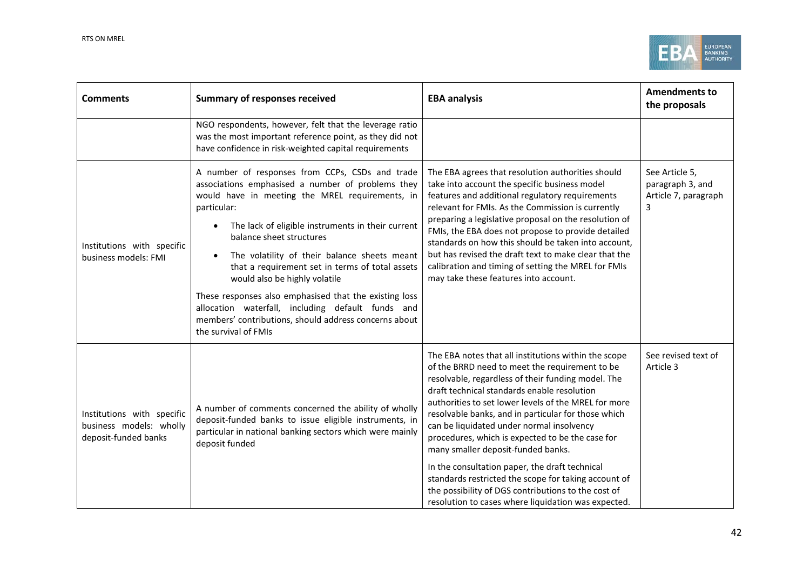

| <b>Comments</b>                                                               | <b>Summary of responses received</b>                                                                                                                                                                                                                                                                                                                                                                                                                                                                                                                                                        | <b>EBA analysis</b>                                                                                                                                                                                                                                                                                                                                                                                                                                                                                                                                                                                                                                                                       | <b>Amendments to</b><br>the proposals                           |
|-------------------------------------------------------------------------------|---------------------------------------------------------------------------------------------------------------------------------------------------------------------------------------------------------------------------------------------------------------------------------------------------------------------------------------------------------------------------------------------------------------------------------------------------------------------------------------------------------------------------------------------------------------------------------------------|-------------------------------------------------------------------------------------------------------------------------------------------------------------------------------------------------------------------------------------------------------------------------------------------------------------------------------------------------------------------------------------------------------------------------------------------------------------------------------------------------------------------------------------------------------------------------------------------------------------------------------------------------------------------------------------------|-----------------------------------------------------------------|
|                                                                               | NGO respondents, however, felt that the leverage ratio<br>was the most important reference point, as they did not<br>have confidence in risk-weighted capital requirements                                                                                                                                                                                                                                                                                                                                                                                                                  |                                                                                                                                                                                                                                                                                                                                                                                                                                                                                                                                                                                                                                                                                           |                                                                 |
| Institutions with specific<br>business models: FMI                            | A number of responses from CCPs, CSDs and trade<br>associations emphasised a number of problems they<br>would have in meeting the MREL requirements, in<br>particular:<br>The lack of eligible instruments in their current<br>balance sheet structures<br>The volatility of their balance sheets meant<br>that a requirement set in terms of total assets<br>would also be highly volatile<br>These responses also emphasised that the existing loss<br>allocation waterfall, including default funds and<br>members' contributions, should address concerns about<br>the survival of FMIs | The EBA agrees that resolution authorities should<br>take into account the specific business model<br>features and additional regulatory requirements<br>relevant for FMIs. As the Commission is currently<br>preparing a legislative proposal on the resolution of<br>FMIs, the EBA does not propose to provide detailed<br>standards on how this should be taken into account,<br>but has revised the draft text to make clear that the<br>calibration and timing of setting the MREL for FMIs<br>may take these features into account.                                                                                                                                                 | See Article 5,<br>paragraph 3, and<br>Article 7, paragraph<br>3 |
| Institutions with specific<br>business models: wholly<br>deposit-funded banks | A number of comments concerned the ability of wholly<br>deposit-funded banks to issue eligible instruments, in<br>particular in national banking sectors which were mainly<br>deposit funded                                                                                                                                                                                                                                                                                                                                                                                                | The EBA notes that all institutions within the scope<br>of the BRRD need to meet the requirement to be<br>resolvable, regardless of their funding model. The<br>draft technical standards enable resolution<br>authorities to set lower levels of the MREL for more<br>resolvable banks, and in particular for those which<br>can be liquidated under normal insolvency<br>procedures, which is expected to be the case for<br>many smaller deposit-funded banks.<br>In the consultation paper, the draft technical<br>standards restricted the scope for taking account of<br>the possibility of DGS contributions to the cost of<br>resolution to cases where liquidation was expected. | See revised text of<br>Article 3                                |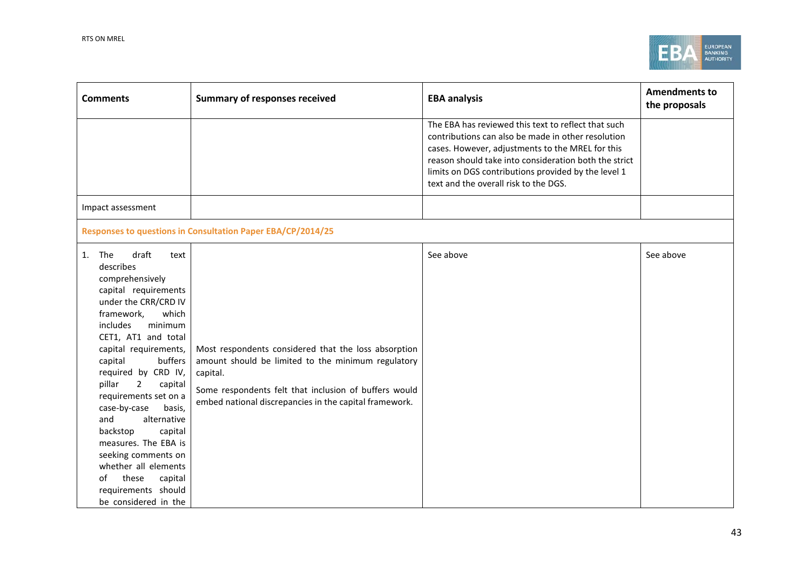

| <b>Comments</b>                                                                                                                                                                                                                                                                                                                                                                                                                                                                                                                              | <b>Summary of responses received</b>                                                                                                                                                                                                      | <b>EBA analysis</b>                                                                                                                                                                                                                                                                                                    | <b>Amendments to</b><br>the proposals |
|----------------------------------------------------------------------------------------------------------------------------------------------------------------------------------------------------------------------------------------------------------------------------------------------------------------------------------------------------------------------------------------------------------------------------------------------------------------------------------------------------------------------------------------------|-------------------------------------------------------------------------------------------------------------------------------------------------------------------------------------------------------------------------------------------|------------------------------------------------------------------------------------------------------------------------------------------------------------------------------------------------------------------------------------------------------------------------------------------------------------------------|---------------------------------------|
|                                                                                                                                                                                                                                                                                                                                                                                                                                                                                                                                              |                                                                                                                                                                                                                                           | The EBA has reviewed this text to reflect that such<br>contributions can also be made in other resolution<br>cases. However, adjustments to the MREL for this<br>reason should take into consideration both the strict<br>limits on DGS contributions provided by the level 1<br>text and the overall risk to the DGS. |                                       |
| Impact assessment                                                                                                                                                                                                                                                                                                                                                                                                                                                                                                                            |                                                                                                                                                                                                                                           |                                                                                                                                                                                                                                                                                                                        |                                       |
|                                                                                                                                                                                                                                                                                                                                                                                                                                                                                                                                              | Responses to questions in Consultation Paper EBA/CP/2014/25                                                                                                                                                                               |                                                                                                                                                                                                                                                                                                                        |                                       |
| draft<br>The<br>1.<br>text<br>describes<br>comprehensively<br>capital requirements<br>under the CRR/CRD IV<br>which<br>framework,<br>includes<br>minimum<br>CET1, AT1 and total<br>capital requirements,<br>buffers<br>capital<br>required by CRD IV,<br>pillar<br>$\overline{2}$<br>capital<br>requirements set on a<br>case-by-case<br>basis,<br>alternative<br>and<br>backstop<br>capital<br>measures. The EBA is<br>seeking comments on<br>whether all elements<br>these<br>capital<br>of<br>requirements should<br>be considered in the | Most respondents considered that the loss absorption<br>amount should be limited to the minimum regulatory<br>capital.<br>Some respondents felt that inclusion of buffers would<br>embed national discrepancies in the capital framework. | See above                                                                                                                                                                                                                                                                                                              | See above                             |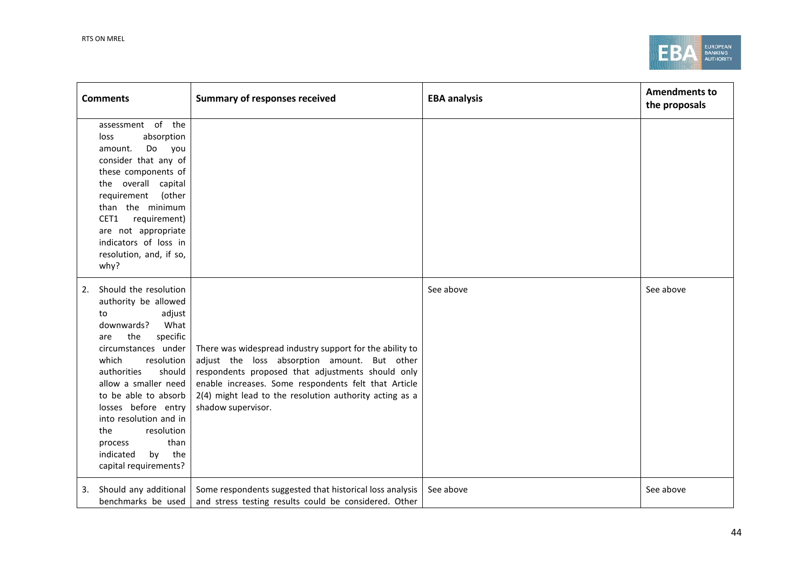

| <b>Comments</b>                                                                                                                                                                                                                                                                                                                                                                     | <b>Summary of responses received</b>                                                                                                                                                                                                                                                                   | <b>EBA analysis</b> | <b>Amendments to</b><br>the proposals |
|-------------------------------------------------------------------------------------------------------------------------------------------------------------------------------------------------------------------------------------------------------------------------------------------------------------------------------------------------------------------------------------|--------------------------------------------------------------------------------------------------------------------------------------------------------------------------------------------------------------------------------------------------------------------------------------------------------|---------------------|---------------------------------------|
| assessment of the<br>absorption<br>loss<br>amount.<br>Do you<br>consider that any of<br>these components of<br>the overall capital<br>requirement<br>(other<br>than the minimum<br>CET1<br>requirement)<br>are not appropriate<br>indicators of loss in<br>resolution, and, if so,<br>why?                                                                                          |                                                                                                                                                                                                                                                                                                        |                     |                                       |
| Should the resolution<br>2.<br>authority be allowed<br>adjust<br>to<br>downwards?<br>What<br>the<br>specific<br>are<br>circumstances under<br>which<br>resolution<br>authorities<br>should<br>allow a smaller need<br>to be able to absorb<br>losses before entry<br>into resolution and in<br>resolution<br>the<br>than<br>process<br>by the<br>indicated<br>capital requirements? | There was widespread industry support for the ability to<br>adjust the loss absorption amount. But other<br>respondents proposed that adjustments should only<br>enable increases. Some respondents felt that Article<br>2(4) might lead to the resolution authority acting as a<br>shadow supervisor. | See above           | See above                             |
| Should any additional<br>3.<br>benchmarks be used                                                                                                                                                                                                                                                                                                                                   | Some respondents suggested that historical loss analysis<br>and stress testing results could be considered. Other                                                                                                                                                                                      | See above           | See above                             |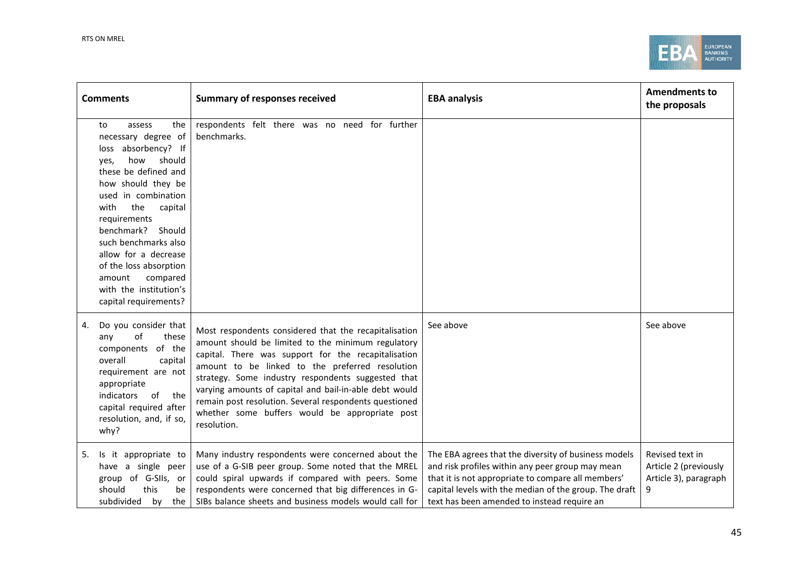

| <b>Comments</b>                                                                                                                                                                                                                                                                                                                                                                      | <b>Summary of responses received</b>                                                                                                                                                                                                                                                                                                                                                                                                                             | <b>EBA analysis</b>                                                                                                                                                                                                                                                     | <b>Amendments to</b><br>the proposals                                  |
|--------------------------------------------------------------------------------------------------------------------------------------------------------------------------------------------------------------------------------------------------------------------------------------------------------------------------------------------------------------------------------------|------------------------------------------------------------------------------------------------------------------------------------------------------------------------------------------------------------------------------------------------------------------------------------------------------------------------------------------------------------------------------------------------------------------------------------------------------------------|-------------------------------------------------------------------------------------------------------------------------------------------------------------------------------------------------------------------------------------------------------------------------|------------------------------------------------------------------------|
| the<br>to<br>assess<br>necessary degree of<br>loss absorbency? If<br>how<br>should<br>yes,<br>these be defined and<br>how should they be<br>used in combination<br>the<br>capital<br>with<br>requirements<br>benchmark?<br>Should<br>such benchmarks also<br>allow for a decrease<br>of the loss absorption<br>compared<br>amount<br>with the institution's<br>capital requirements? | respondents felt there was no need for further<br>benchmarks.                                                                                                                                                                                                                                                                                                                                                                                                    |                                                                                                                                                                                                                                                                         |                                                                        |
| Do you consider that<br>4.<br>of<br>these<br>any<br>components of the<br>overall<br>capital<br>requirement are not<br>appropriate<br>indicators<br>of<br>the<br>capital required after<br>resolution, and, if so,<br>why?                                                                                                                                                            | Most respondents considered that the recapitalisation<br>amount should be limited to the minimum regulatory<br>capital. There was support for the recapitalisation<br>amount to be linked to the preferred resolution<br>strategy. Some industry respondents suggested that<br>varying amounts of capital and bail-in-able debt would<br>remain post resolution. Several respondents questioned<br>whether some buffers would be appropriate post<br>resolution. | See above                                                                                                                                                                                                                                                               | See above                                                              |
| Is it appropriate to<br>5.<br>have a single peer<br>group of G-SIIs, or<br>should<br>this<br>be<br>subdivided<br>by<br>the                                                                                                                                                                                                                                                           | Many industry respondents were concerned about the<br>use of a G-SIB peer group. Some noted that the MREL<br>could spiral upwards if compared with peers. Some<br>respondents were concerned that big differences in G-<br>SIBs balance sheets and business models would call for                                                                                                                                                                                | The EBA agrees that the diversity of business models<br>and risk profiles within any peer group may mean<br>that it is not appropriate to compare all members'<br>capital levels with the median of the group. The draft<br>text has been amended to instead require an | Revised text in<br>Article 2 (previously<br>Article 3), paragraph<br>9 |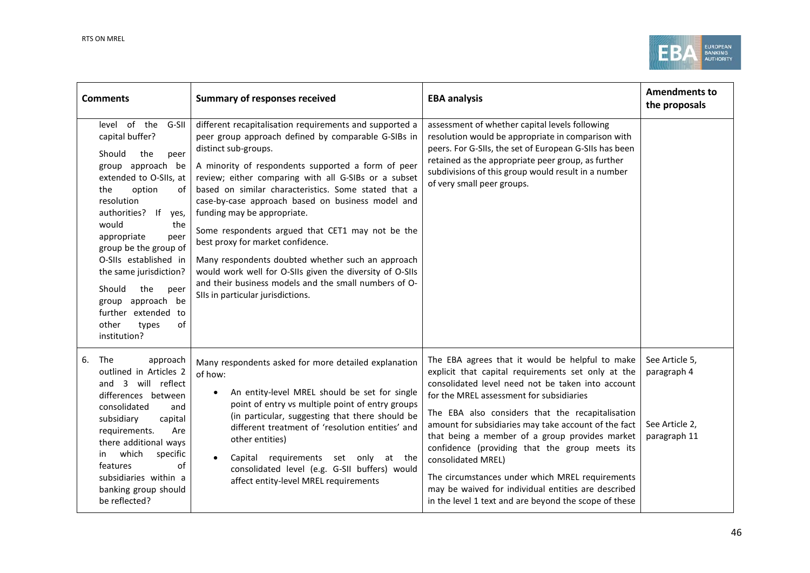

| <b>Comments</b>                                                                                                                                                                                                                                                                                                                                                                                                      | <b>Summary of responses received</b>                                                                                                                                                                                                                                                                                                                                                                                                                                                                                                                                                                                                                                                                     | <b>EBA analysis</b>                                                                                                                                                                                                                                                                                                                                                                                                                                                                                                                                                                                             | <b>Amendments to</b><br>the proposals                           |
|----------------------------------------------------------------------------------------------------------------------------------------------------------------------------------------------------------------------------------------------------------------------------------------------------------------------------------------------------------------------------------------------------------------------|----------------------------------------------------------------------------------------------------------------------------------------------------------------------------------------------------------------------------------------------------------------------------------------------------------------------------------------------------------------------------------------------------------------------------------------------------------------------------------------------------------------------------------------------------------------------------------------------------------------------------------------------------------------------------------------------------------|-----------------------------------------------------------------------------------------------------------------------------------------------------------------------------------------------------------------------------------------------------------------------------------------------------------------------------------------------------------------------------------------------------------------------------------------------------------------------------------------------------------------------------------------------------------------------------------------------------------------|-----------------------------------------------------------------|
| level of the<br>G-SII<br>capital buffer?<br>Should<br>the<br>peer<br>group approach be<br>extended to O-SIIs, at<br>option<br>of<br>the<br>resolution<br> f <br>authorities?<br>yes,<br>would<br>the<br>appropriate<br>peer<br>group be the group of<br>O-SIIs established in<br>the same jurisdiction?<br>Should<br>the<br>peer<br>group approach be<br>further extended to<br>other<br>of<br>types<br>institution? | different recapitalisation requirements and supported a<br>peer group approach defined by comparable G-SIBs in<br>distinct sub-groups.<br>A minority of respondents supported a form of peer<br>review; either comparing with all G-SIBs or a subset<br>based on similar characteristics. Some stated that a<br>case-by-case approach based on business model and<br>funding may be appropriate.<br>Some respondents argued that CET1 may not be the<br>best proxy for market confidence.<br>Many respondents doubted whether such an approach<br>would work well for O-SIIs given the diversity of O-SIIs<br>and their business models and the small numbers of O-<br>SIIs in particular jurisdictions. | assessment of whether capital levels following<br>resolution would be appropriate in comparison with<br>peers. For G-SIIs, the set of European G-SIIs has been<br>retained as the appropriate peer group, as further<br>subdivisions of this group would result in a number<br>of very small peer groups.                                                                                                                                                                                                                                                                                                       |                                                                 |
| The<br>6.<br>approach<br>outlined in Articles 2<br>will reflect<br>and<br>3<br>differences between<br>consolidated<br>and<br>subsidiary<br>capital<br>requirements.<br>Are<br>there additional ways<br>which<br>specific<br>in.<br>of<br>features<br>subsidiaries within a<br>banking group should<br>be reflected?                                                                                                  | Many respondents asked for more detailed explanation<br>of how:<br>An entity-level MREL should be set for single<br>point of entry vs multiple point of entry groups<br>(in particular, suggesting that there should be<br>different treatment of 'resolution entities' and<br>other entities)<br>Capital requirements set only at the<br>consolidated level (e.g. G-SII buffers) would<br>affect entity-level MREL requirements                                                                                                                                                                                                                                                                         | The EBA agrees that it would be helpful to make<br>explicit that capital requirements set only at the<br>consolidated level need not be taken into account<br>for the MREL assessment for subsidiaries<br>The EBA also considers that the recapitalisation<br>amount for subsidiaries may take account of the fact<br>that being a member of a group provides market<br>confidence (providing that the group meets its<br>consolidated MREL)<br>The circumstances under which MREL requirements<br>may be waived for individual entities are described<br>in the level 1 text and are beyond the scope of these | See Article 5,<br>paragraph 4<br>See Article 2,<br>paragraph 11 |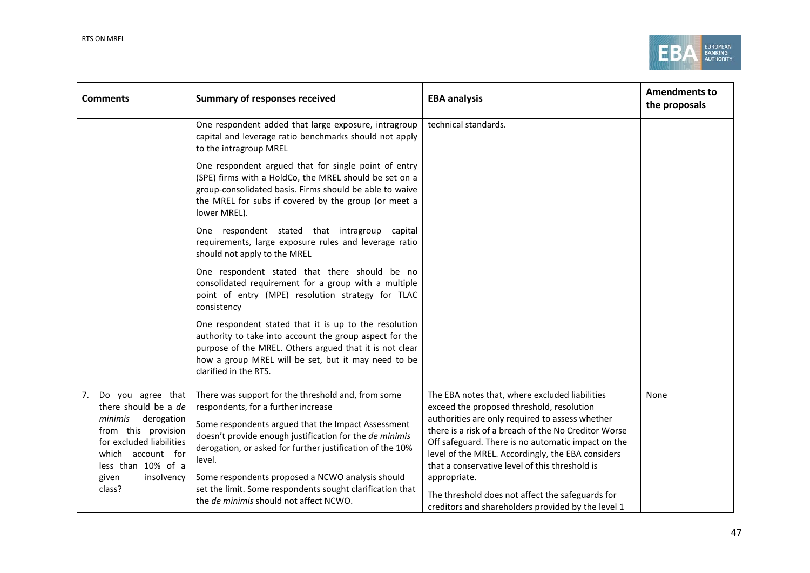

| <b>Comments</b>                                                                                                                                                        | <b>Summary of responses received</b>                                                                                                                                                                                                                                              | <b>EBA analysis</b>                                                                                                                                                                                                                                                                                                                                                 | <b>Amendments to</b><br>the proposals |
|------------------------------------------------------------------------------------------------------------------------------------------------------------------------|-----------------------------------------------------------------------------------------------------------------------------------------------------------------------------------------------------------------------------------------------------------------------------------|---------------------------------------------------------------------------------------------------------------------------------------------------------------------------------------------------------------------------------------------------------------------------------------------------------------------------------------------------------------------|---------------------------------------|
|                                                                                                                                                                        | One respondent added that large exposure, intragroup<br>capital and leverage ratio benchmarks should not apply<br>to the intragroup MREL                                                                                                                                          | technical standards.                                                                                                                                                                                                                                                                                                                                                |                                       |
|                                                                                                                                                                        | One respondent argued that for single point of entry<br>(SPE) firms with a HoldCo, the MREL should be set on a<br>group-consolidated basis. Firms should be able to waive<br>the MREL for subs if covered by the group (or meet a<br>lower MREL).                                 |                                                                                                                                                                                                                                                                                                                                                                     |                                       |
|                                                                                                                                                                        | One respondent stated that intragroup capital<br>requirements, large exposure rules and leverage ratio<br>should not apply to the MREL                                                                                                                                            |                                                                                                                                                                                                                                                                                                                                                                     |                                       |
|                                                                                                                                                                        | One respondent stated that there should be no<br>consolidated requirement for a group with a multiple<br>point of entry (MPE) resolution strategy for TLAC<br>consistency                                                                                                         |                                                                                                                                                                                                                                                                                                                                                                     |                                       |
|                                                                                                                                                                        | One respondent stated that it is up to the resolution<br>authority to take into account the group aspect for the<br>purpose of the MREL. Others argued that it is not clear<br>how a group MREL will be set, but it may need to be<br>clarified in the RTS.                       |                                                                                                                                                                                                                                                                                                                                                                     |                                       |
| Do you agree that<br>7.<br>there should be a de<br>minimis<br>derogation<br>from this provision<br>for excluded liabilities<br>which account for<br>less than 10% of a | There was support for the threshold and, from some<br>respondents, for a further increase<br>Some respondents argued that the Impact Assessment<br>doesn't provide enough justification for the de minimis<br>derogation, or asked for further justification of the 10%<br>level. | The EBA notes that, where excluded liabilities<br>exceed the proposed threshold, resolution<br>authorities are only required to assess whether<br>there is a risk of a breach of the No Creditor Worse<br>Off safeguard. There is no automatic impact on the<br>level of the MREL. Accordingly, the EBA considers<br>that a conservative level of this threshold is | None                                  |
| insolvency<br>given<br>class?                                                                                                                                          | Some respondents proposed a NCWO analysis should<br>set the limit. Some respondents sought clarification that<br>the de minimis should not affect NCWO.                                                                                                                           | appropriate.<br>The threshold does not affect the safeguards for<br>creditors and shareholders provided by the level 1                                                                                                                                                                                                                                              |                                       |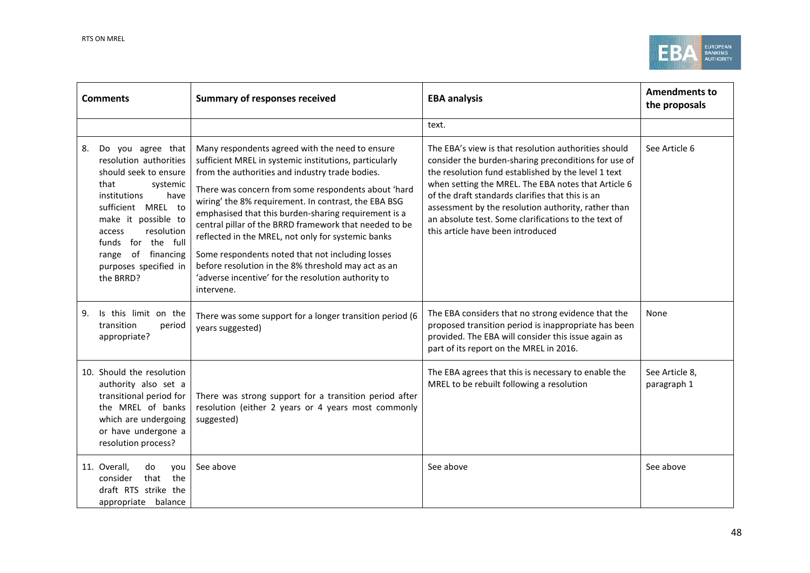

| <b>Comments</b>                                                                                                                                                                                                                                                                  | <b>Summary of responses received</b>                                                                                                                                                                                                                                                                                                                                                                                                                                                                                                                                                                                                | <b>EBA analysis</b>                                                                                                                                                                                                                                                                                                                                                                                                                | <b>Amendments to</b><br>the proposals |
|----------------------------------------------------------------------------------------------------------------------------------------------------------------------------------------------------------------------------------------------------------------------------------|-------------------------------------------------------------------------------------------------------------------------------------------------------------------------------------------------------------------------------------------------------------------------------------------------------------------------------------------------------------------------------------------------------------------------------------------------------------------------------------------------------------------------------------------------------------------------------------------------------------------------------------|------------------------------------------------------------------------------------------------------------------------------------------------------------------------------------------------------------------------------------------------------------------------------------------------------------------------------------------------------------------------------------------------------------------------------------|---------------------------------------|
|                                                                                                                                                                                                                                                                                  |                                                                                                                                                                                                                                                                                                                                                                                                                                                                                                                                                                                                                                     | text.                                                                                                                                                                                                                                                                                                                                                                                                                              |                                       |
| Do you agree that<br>8.<br>resolution authorities<br>should seek to ensure<br>that<br>systemic<br>institutions<br>have<br>sufficient MREL to<br>make it possible to<br>resolution<br>access<br>funds for the full<br>of financing<br>range<br>purposes specified in<br>the BRRD? | Many respondents agreed with the need to ensure<br>sufficient MREL in systemic institutions, particularly<br>from the authorities and industry trade bodies.<br>There was concern from some respondents about 'hard<br>wiring' the 8% requirement. In contrast, the EBA BSG<br>emphasised that this burden-sharing requirement is a<br>central pillar of the BRRD framework that needed to be<br>reflected in the MREL, not only for systemic banks<br>Some respondents noted that not including losses<br>before resolution in the 8% threshold may act as an<br>'adverse incentive' for the resolution authority to<br>intervene. | The EBA's view is that resolution authorities should<br>consider the burden-sharing preconditions for use of<br>the resolution fund established by the level 1 text<br>when setting the MREL. The EBA notes that Article 6<br>of the draft standards clarifies that this is an<br>assessment by the resolution authority, rather than<br>an absolute test. Some clarifications to the text of<br>this article have been introduced | See Article 6                         |
| Is this limit on the<br>9.<br>transition<br>period<br>appropriate?                                                                                                                                                                                                               | There was some support for a longer transition period (6<br>years suggested)                                                                                                                                                                                                                                                                                                                                                                                                                                                                                                                                                        | The EBA considers that no strong evidence that the<br>proposed transition period is inappropriate has been<br>provided. The EBA will consider this issue again as<br>part of its report on the MREL in 2016.                                                                                                                                                                                                                       | None                                  |
| 10. Should the resolution<br>authority also set a<br>transitional period for<br>the MREL of banks<br>which are undergoing<br>or have undergone a<br>resolution process?                                                                                                          | There was strong support for a transition period after<br>resolution (either 2 years or 4 years most commonly<br>suggested)                                                                                                                                                                                                                                                                                                                                                                                                                                                                                                         | The EBA agrees that this is necessary to enable the<br>MREL to be rebuilt following a resolution                                                                                                                                                                                                                                                                                                                                   | See Article 8,<br>paragraph 1         |
| 11. Overall,<br>do<br>vou<br>that<br>the<br>consider<br>draft RTS strike the<br>appropriate balance                                                                                                                                                                              | See above                                                                                                                                                                                                                                                                                                                                                                                                                                                                                                                                                                                                                           | See above                                                                                                                                                                                                                                                                                                                                                                                                                          | See above                             |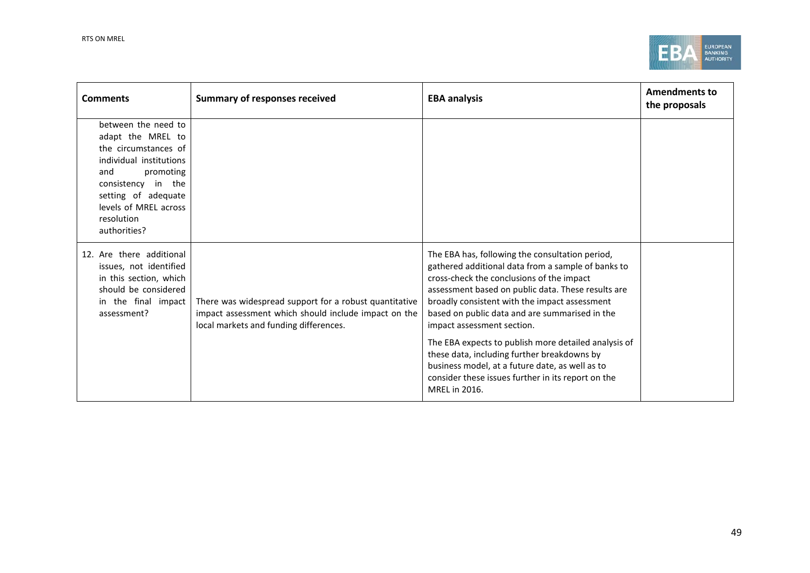

| <b>Comments</b>                                                                                                                                                                                                     | <b>Summary of responses received</b>                                                                                                                     | <b>EBA analysis</b>                                                                                                                                                                                                                                                                                                                                                                                                                                                                                                                                                        | <b>Amendments to</b><br>the proposals |
|---------------------------------------------------------------------------------------------------------------------------------------------------------------------------------------------------------------------|----------------------------------------------------------------------------------------------------------------------------------------------------------|----------------------------------------------------------------------------------------------------------------------------------------------------------------------------------------------------------------------------------------------------------------------------------------------------------------------------------------------------------------------------------------------------------------------------------------------------------------------------------------------------------------------------------------------------------------------------|---------------------------------------|
| between the need to<br>adapt the MREL to<br>the circumstances of<br>individual institutions<br>promoting<br>and<br>consistency in the<br>setting of adequate<br>levels of MREL across<br>resolution<br>authorities? |                                                                                                                                                          |                                                                                                                                                                                                                                                                                                                                                                                                                                                                                                                                                                            |                                       |
| 12. Are there additional<br>issues, not identified<br>in this section, which<br>should be considered<br>in the final impact<br>assessment?                                                                          | There was widespread support for a robust quantitative<br>impact assessment which should include impact on the<br>local markets and funding differences. | The EBA has, following the consultation period,<br>gathered additional data from a sample of banks to<br>cross-check the conclusions of the impact<br>assessment based on public data. These results are<br>broadly consistent with the impact assessment<br>based on public data and are summarised in the<br>impact assessment section.<br>The EBA expects to publish more detailed analysis of<br>these data, including further breakdowns by<br>business model, at a future date, as well as to<br>consider these issues further in its report on the<br>MREL in 2016. |                                       |